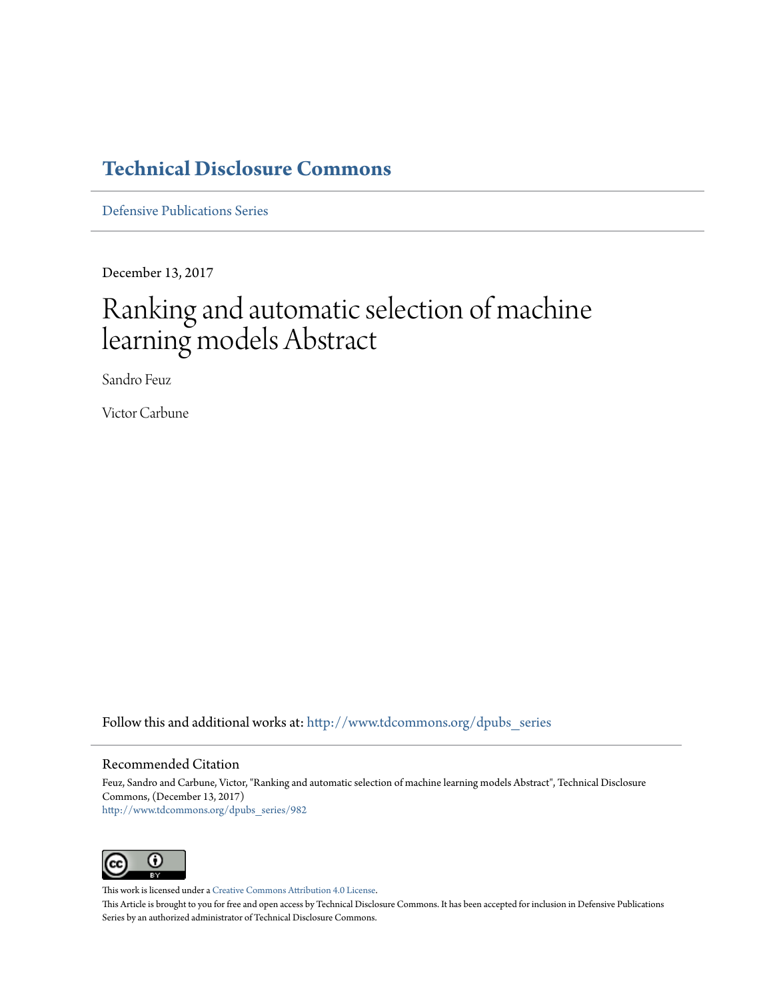## **[Technical Disclosure Commons](http://www.tdcommons.org?utm_source=www.tdcommons.org%2Fdpubs_series%2F982&utm_medium=PDF&utm_campaign=PDFCoverPages)**

[Defensive Publications Series](http://www.tdcommons.org/dpubs_series?utm_source=www.tdcommons.org%2Fdpubs_series%2F982&utm_medium=PDF&utm_campaign=PDFCoverPages)

December 13, 2017

# Ranking and automatic selection of machine learning models Abstract

Sandro Feuz

Victor Carbune

Follow this and additional works at: [http://www.tdcommons.org/dpubs\\_series](http://www.tdcommons.org/dpubs_series?utm_source=www.tdcommons.org%2Fdpubs_series%2F982&utm_medium=PDF&utm_campaign=PDFCoverPages)

#### Recommended Citation

Feuz, Sandro and Carbune, Victor, "Ranking and automatic selection of machine learning models Abstract", Technical Disclosure Commons, (December 13, 2017) [http://www.tdcommons.org/dpubs\\_series/982](http://www.tdcommons.org/dpubs_series/982?utm_source=www.tdcommons.org%2Fdpubs_series%2F982&utm_medium=PDF&utm_campaign=PDFCoverPages)



This work is licensed under a [Creative Commons Attribution 4.0 License.](http://creativecommons.org/licenses/by/4.0/deed.en_US)

This Article is brought to you for free and open access by Technical Disclosure Commons. It has been accepted for inclusion in Defensive Publications Series by an authorized administrator of Technical Disclosure Commons.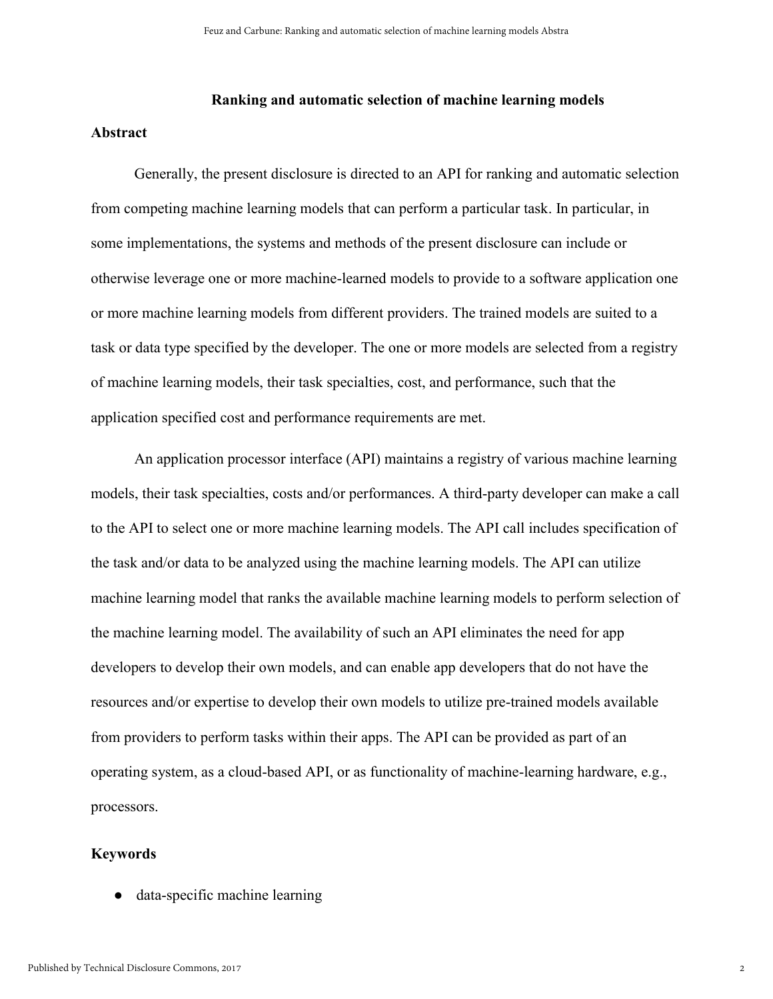### **Ranking and automatic selection of machine learning models**

#### **Abstract**

Generally, the present disclosure is directed to an API for ranking and automatic selection from competing machine learning models that can perform a particular task. In particular, in some implementations, the systems and methods of the present disclosure can include or otherwise leverage one or more machine-learned models to provide to a software application one or more machine learning models from different providers. The trained models are suited to a task or data type specified by the developer. The one or more models are selected from a registry of machine learning models, their task specialties, cost, and performance, such that the application specified cost and performance requirements are met.

An application processor interface (API) maintains a registry of various machine learning models, their task specialties, costs and/or performances. A third-party developer can make a call to the API to select one or more machine learning models. The API call includes specification of the task and/or data to be analyzed using the machine learning models. The API can utilize machine learning model that ranks the available machine learning models to perform selection of the machine learning model. The availability of such an API eliminates the need for app developers to develop their own models, and can enable app developers that do not have the resources and/or expertise to develop their own models to utilize pre-trained models available from providers to perform tasks within their apps. The API can be provided as part of an operating system, as a cloud-based API, or as functionality of machine-learning hardware, e.g., processors.

#### **Keywords**

data-specific machine learning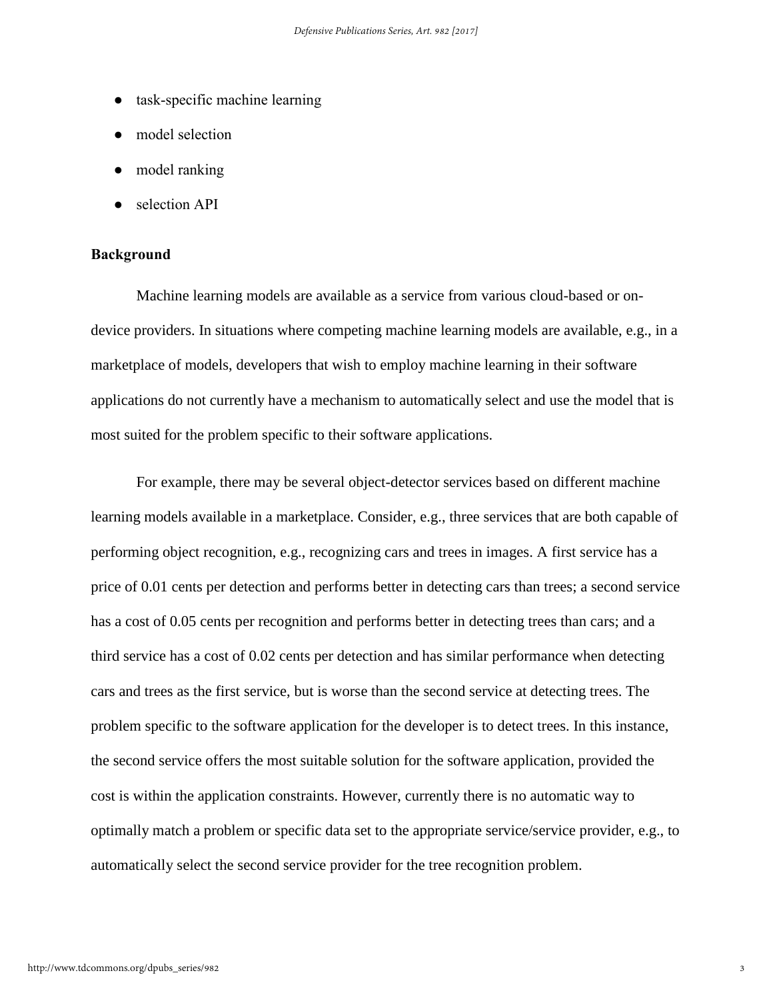- task-specific machine learning
- model selection
- model ranking
- selection API

#### **Background**

Machine learning models are available as a service from various cloud-based or ondevice providers. In situations where competing machine learning models are available, e.g., in a marketplace of models, developers that wish to employ machine learning in their software applications do not currently have a mechanism to automatically select and use the model that is most suited for the problem specific to their software applications.

For example, there may be several object-detector services based on different machine learning models available in a marketplace. Consider, e.g., three services that are both capable of performing object recognition, e.g., recognizing cars and trees in images. A first service has a price of 0.01 cents per detection and performs better in detecting cars than trees; a second service has a cost of 0.05 cents per recognition and performs better in detecting trees than cars; and a third service has a cost of 0.02 cents per detection and has similar performance when detecting cars and trees as the first service, but is worse than the second service at detecting trees. The problem specific to the software application for the developer is to detect trees. In this instance, the second service offers the most suitable solution for the software application, provided the cost is within the application constraints. However, currently there is no automatic way to optimally match a problem or specific data set to the appropriate service/service provider, e.g., to automatically select the second service provider for the tree recognition problem.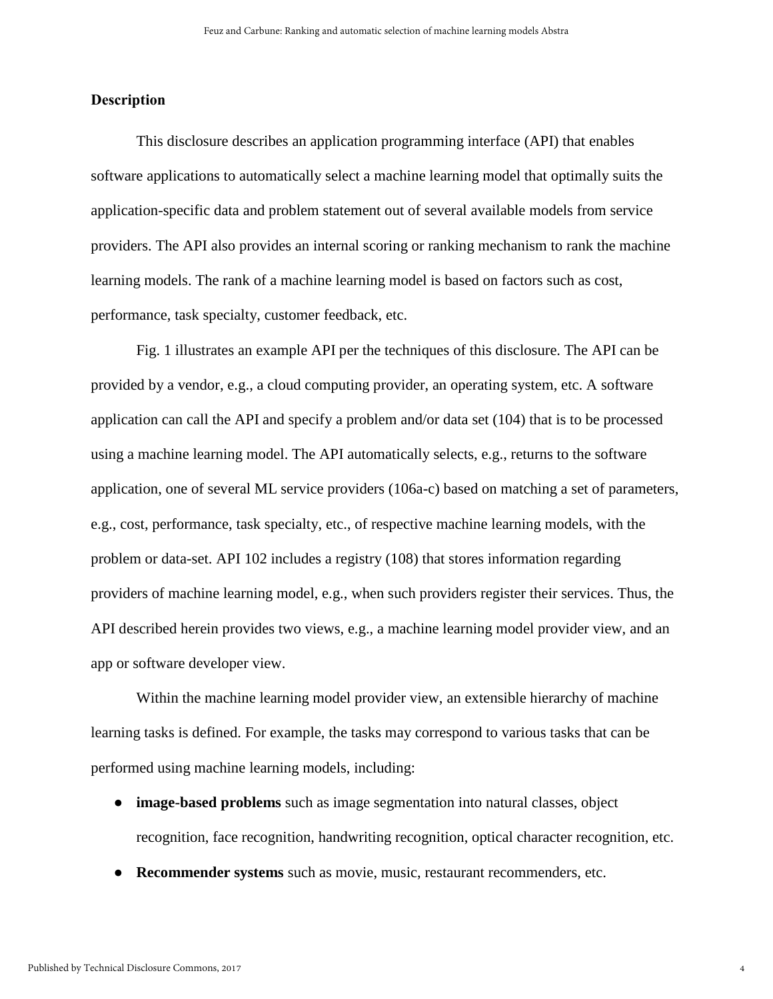#### **Description**

This disclosure describes an application programming interface (API) that enables software applications to automatically select a machine learning model that optimally suits the application-specific data and problem statement out of several available models from service providers. The API also provides an internal scoring or ranking mechanism to rank the machine learning models. The rank of a machine learning model is based on factors such as cost, performance, task specialty, customer feedback, etc.

Fig. 1 illustrates an example API per the techniques of this disclosure. The API can be provided by a vendor, e.g., a cloud computing provider, an operating system, etc. A software application can call the API and specify a problem and/or data set (104) that is to be processed using a machine learning model. The API automatically selects, e.g., returns to the software application, one of several ML service providers (106a-c) based on matching a set of parameters, e.g., cost, performance, task specialty, etc., of respective machine learning models, with the problem or data-set. API 102 includes a registry (108) that stores information regarding providers of machine learning model, e.g., when such providers register their services. Thus, the API described herein provides two views, e.g., a machine learning model provider view, and an app or software developer view.

Within the machine learning model provider view, an extensible hierarchy of machine learning tasks is defined. For example, the tasks may correspond to various tasks that can be performed using machine learning models, including:

- **image-based problems** such as image segmentation into natural classes, object recognition, face recognition, handwriting recognition, optical character recognition, etc.
- **Recommender systems** such as movie, music, restaurant recommenders, etc.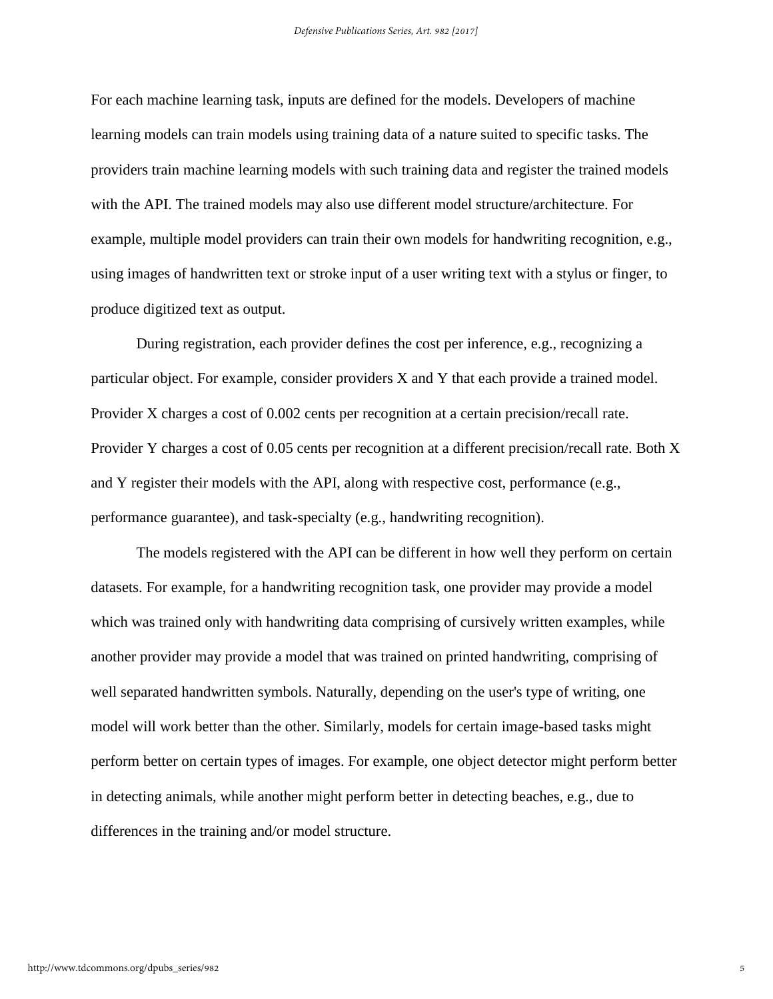For each machine learning task, inputs are defined for the models. Developers of machine learning models can train models using training data of a nature suited to specific tasks. The providers train machine learning models with such training data and register the trained models with the API. The trained models may also use different model structure/architecture. For example, multiple model providers can train their own models for handwriting recognition, e.g., using images of handwritten text or stroke input of a user writing text with a stylus or finger, to produce digitized text as output.

During registration, each provider defines the cost per inference, e.g., recognizing a particular object. For example, consider providers X and Y that each provide a trained model. Provider X charges a cost of 0.002 cents per recognition at a certain precision/recall rate. Provider Y charges a cost of 0.05 cents per recognition at a different precision/recall rate. Both X and Y register their models with the API, along with respective cost, performance (e.g., performance guarantee), and task-specialty (e.g., handwriting recognition).

The models registered with the API can be different in how well they perform on certain datasets. For example, for a handwriting recognition task, one provider may provide a model which was trained only with handwriting data comprising of cursively written examples, while another provider may provide a model that was trained on printed handwriting, comprising of well separated handwritten symbols. Naturally, depending on the user's type of writing, one model will work better than the other. Similarly, models for certain image-based tasks might perform better on certain types of images. For example, one object detector might perform better in detecting animals, while another might perform better in detecting beaches, e.g., due to differences in the training and/or model structure.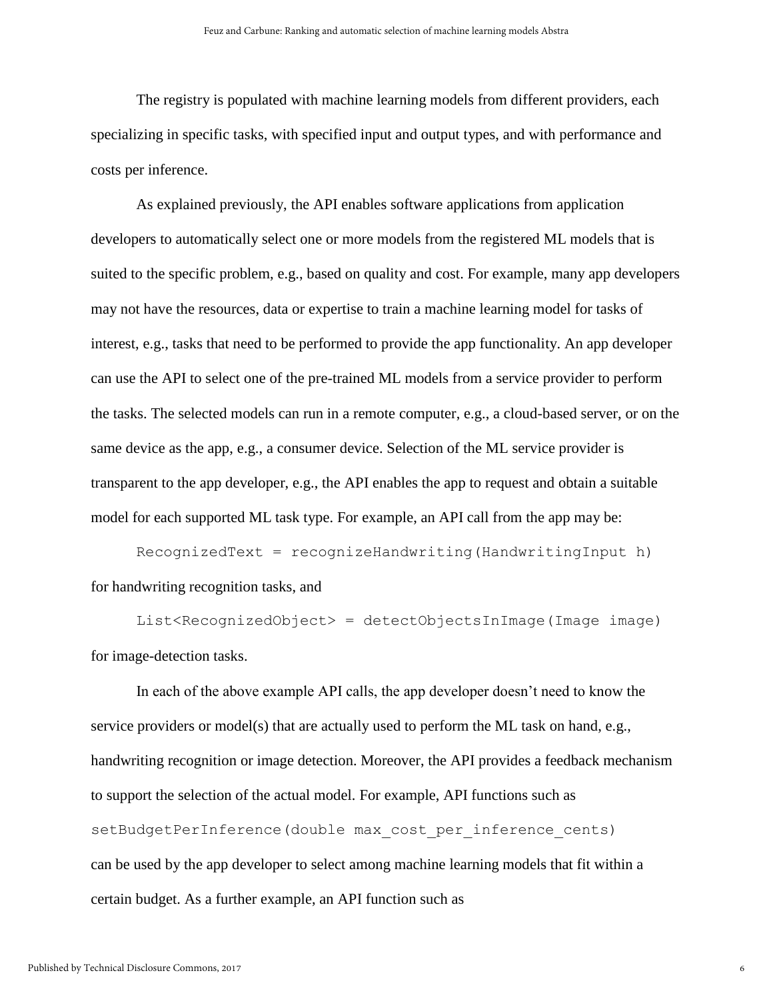The registry is populated with machine learning models from different providers, each specializing in specific tasks, with specified input and output types, and with performance and costs per inference.

As explained previously, the API enables software applications from application developers to automatically select one or more models from the registered ML models that is suited to the specific problem, e.g., based on quality and cost. For example, many app developers may not have the resources, data or expertise to train a machine learning model for tasks of interest, e.g., tasks that need to be performed to provide the app functionality. An app developer can use the API to select one of the pre-trained ML models from a service provider to perform the tasks. The selected models can run in a remote computer, e.g., a cloud-based server, or on the same device as the app, e.g., a consumer device. Selection of the ML service provider is transparent to the app developer, e.g., the API enables the app to request and obtain a suitable model for each supported ML task type. For example, an API call from the app may be:

RecognizedText = recognizeHandwriting(HandwritingInput h) for handwriting recognition tasks, and

List<RecognizedObject> = detectObjectsInImage(Image image) for image-detection tasks.

In each of the above example API calls, the app developer doesn't need to know the service providers or model(s) that are actually used to perform the ML task on hand, e.g., handwriting recognition or image detection. Moreover, the API provides a feedback mechanism to support the selection of the actual model. For example, API functions such as setBudgetPerInference(double max cost per inference cents) can be used by the app developer to select among machine learning models that fit within a certain budget. As a further example, an API function such as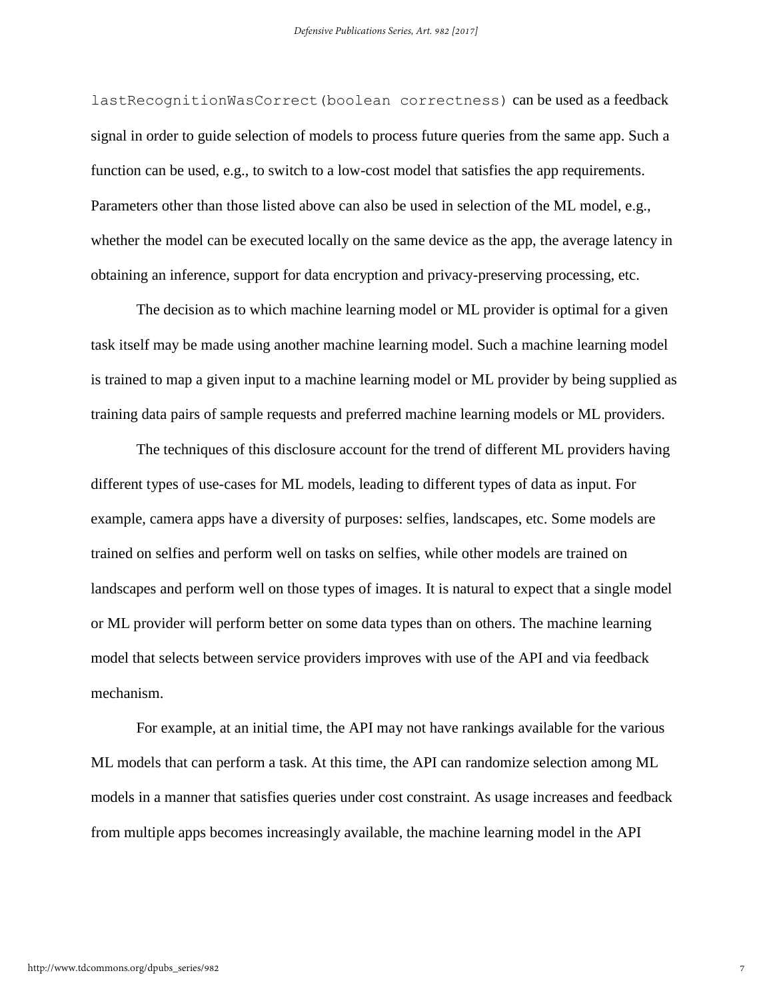lastRecognitionWasCorrect(boolean correctness) can be used as a feedback signal in order to guide selection of models to process future queries from the same app. Such a function can be used, e.g., to switch to a low-cost model that satisfies the app requirements. Parameters other than those listed above can also be used in selection of the ML model, e.g., whether the model can be executed locally on the same device as the app, the average latency in obtaining an inference, support for data encryption and privacy-preserving processing, etc.

The decision as to which machine learning model or ML provider is optimal for a given task itself may be made using another machine learning model. Such a machine learning model is trained to map a given input to a machine learning model or ML provider by being supplied as training data pairs of sample requests and preferred machine learning models or ML providers.

The techniques of this disclosure account for the trend of different ML providers having different types of use-cases for ML models, leading to different types of data as input. For example, camera apps have a diversity of purposes: selfies, landscapes, etc. Some models are trained on selfies and perform well on tasks on selfies, while other models are trained on landscapes and perform well on those types of images. It is natural to expect that a single model or ML provider will perform better on some data types than on others. The machine learning model that selects between service providers improves with use of the API and via feedback mechanism.

For example, at an initial time, the API may not have rankings available for the various ML models that can perform a task. At this time, the API can randomize selection among ML models in a manner that satisfies queries under cost constraint. As usage increases and feedback from multiple apps becomes increasingly available, the machine learning model in the API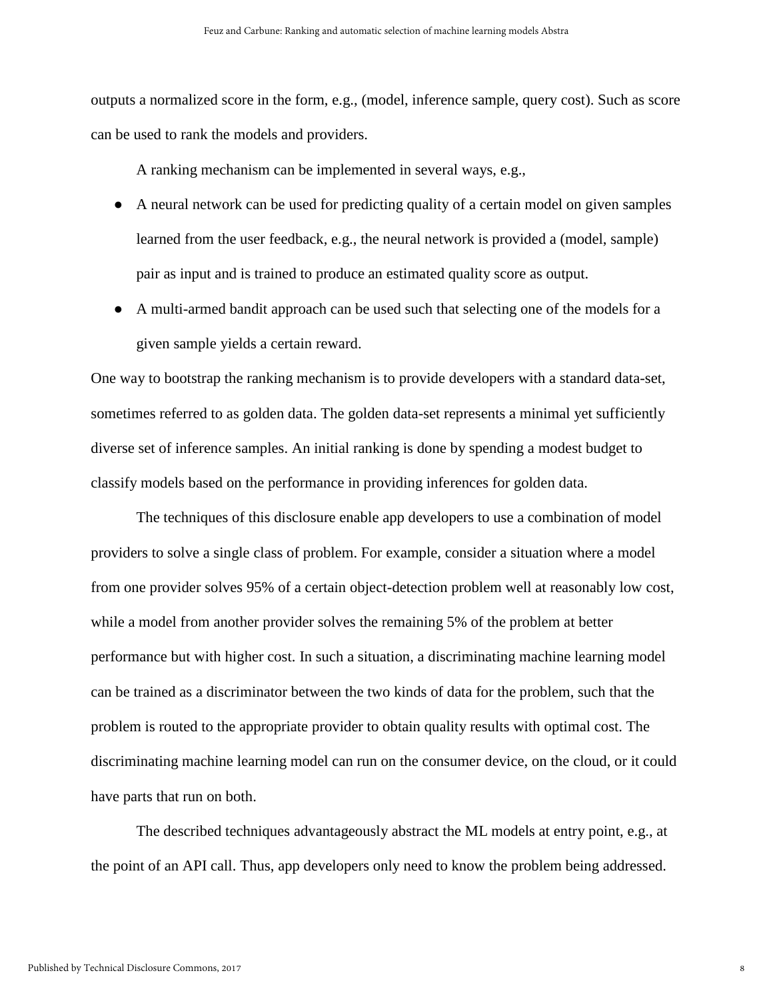outputs a normalized score in the form, e.g., (model, inference sample, query cost). Such as score can be used to rank the models and providers.

A ranking mechanism can be implemented in several ways, e.g.,

- A neural network can be used for predicting quality of a certain model on given samples learned from the user feedback, e.g., the neural network is provided a (model, sample) pair as input and is trained to produce an estimated quality score as output.
- A multi-armed bandit approach can be used such that selecting one of the models for a given sample yields a certain reward.

One way to bootstrap the ranking mechanism is to provide developers with a standard data-set, sometimes referred to as golden data. The golden data-set represents a minimal yet sufficiently diverse set of inference samples. An initial ranking is done by spending a modest budget to classify models based on the performance in providing inferences for golden data.

The techniques of this disclosure enable app developers to use a combination of model providers to solve a single class of problem. For example, consider a situation where a model from one provider solves 95% of a certain object-detection problem well at reasonably low cost, while a model from another provider solves the remaining 5% of the problem at better performance but with higher cost. In such a situation, a discriminating machine learning model can be trained as a discriminator between the two kinds of data for the problem, such that the problem is routed to the appropriate provider to obtain quality results with optimal cost. The discriminating machine learning model can run on the consumer device, on the cloud, or it could have parts that run on both.

The described techniques advantageously abstract the ML models at entry point, e.g., at the point of an API call. Thus, app developers only need to know the problem being addressed.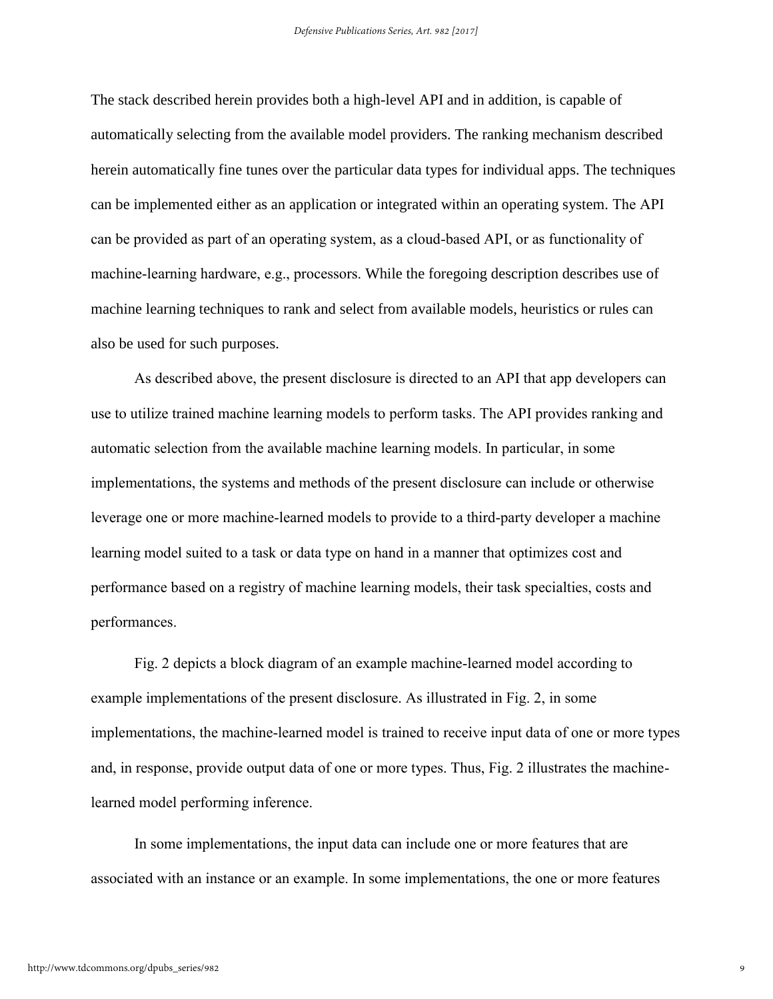The stack described herein provides both a high-level API and in addition, is capable of automatically selecting from the available model providers. The ranking mechanism described herein automatically fine tunes over the particular data types for individual apps. The techniques can be implemented either as an application or integrated within an operating system. The API can be provided as part of an operating system, as a cloud-based API, or as functionality of machine-learning hardware, e.g., processors. While the foregoing description describes use of machine learning techniques to rank and select from available models, heuristics or rules can also be used for such purposes.

As described above, the present disclosure is directed to an API that app developers can use to utilize trained machine learning models to perform tasks. The API provides ranking and automatic selection from the available machine learning models. In particular, in some implementations, the systems and methods of the present disclosure can include or otherwise leverage one or more machine-learned models to provide to a third-party developer a machine learning model suited to a task or data type on hand in a manner that optimizes cost and performance based on a registry of machine learning models, their task specialties, costs and performances.

Fig. 2 depicts a block diagram of an example machine-learned model according to example implementations of the present disclosure. As illustrated in Fig. 2, in some implementations, the machine-learned model is trained to receive input data of one or more types and, in response, provide output data of one or more types. Thus, Fig. 2 illustrates the machinelearned model performing inference.

In some implementations, the input data can include one or more features that are associated with an instance or an example. In some implementations, the one or more features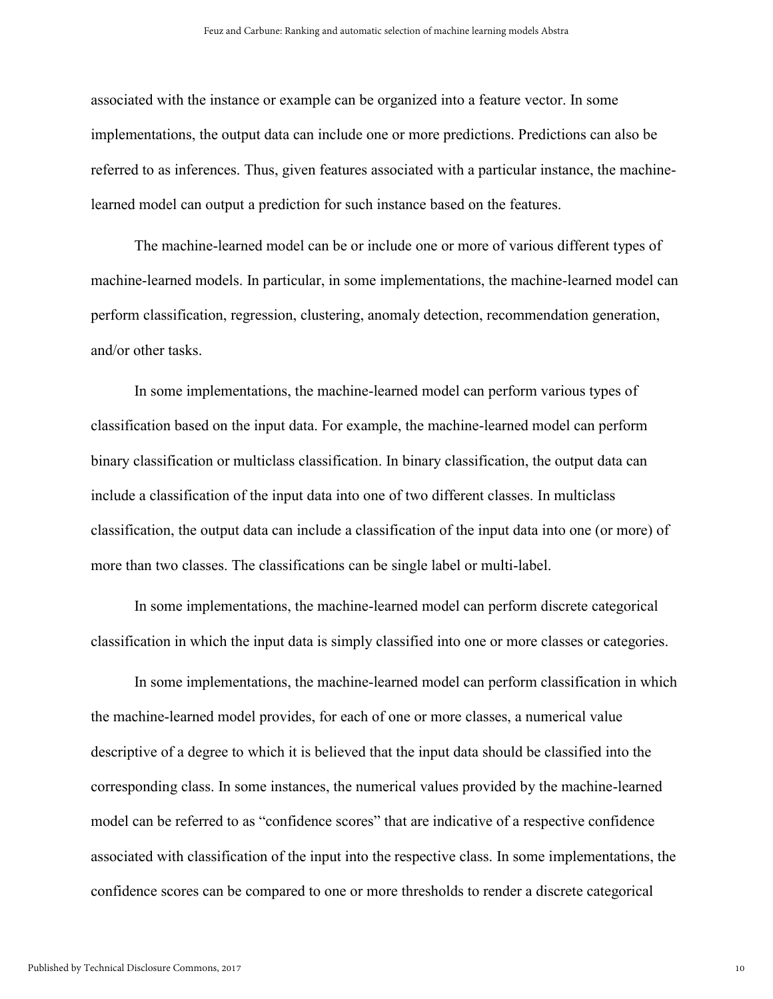associated with the instance or example can be organized into a feature vector. In some implementations, the output data can include one or more predictions. Predictions can also be referred to as inferences. Thus, given features associated with a particular instance, the machinelearned model can output a prediction for such instance based on the features.

The machine-learned model can be or include one or more of various different types of machine-learned models. In particular, in some implementations, the machine-learned model can perform classification, regression, clustering, anomaly detection, recommendation generation, and/or other tasks.

In some implementations, the machine-learned model can perform various types of classification based on the input data. For example, the machine-learned model can perform binary classification or multiclass classification. In binary classification, the output data can include a classification of the input data into one of two different classes. In multiclass classification, the output data can include a classification of the input data into one (or more) of more than two classes. The classifications can be single label or multi-label.

In some implementations, the machine-learned model can perform discrete categorical classification in which the input data is simply classified into one or more classes or categories.

In some implementations, the machine-learned model can perform classification in which the machine-learned model provides, for each of one or more classes, a numerical value descriptive of a degree to which it is believed that the input data should be classified into the corresponding class. In some instances, the numerical values provided by the machine-learned model can be referred to as "confidence scores" that are indicative of a respective confidence associated with classification of the input into the respective class. In some implementations, the confidence scores can be compared to one or more thresholds to render a discrete categorical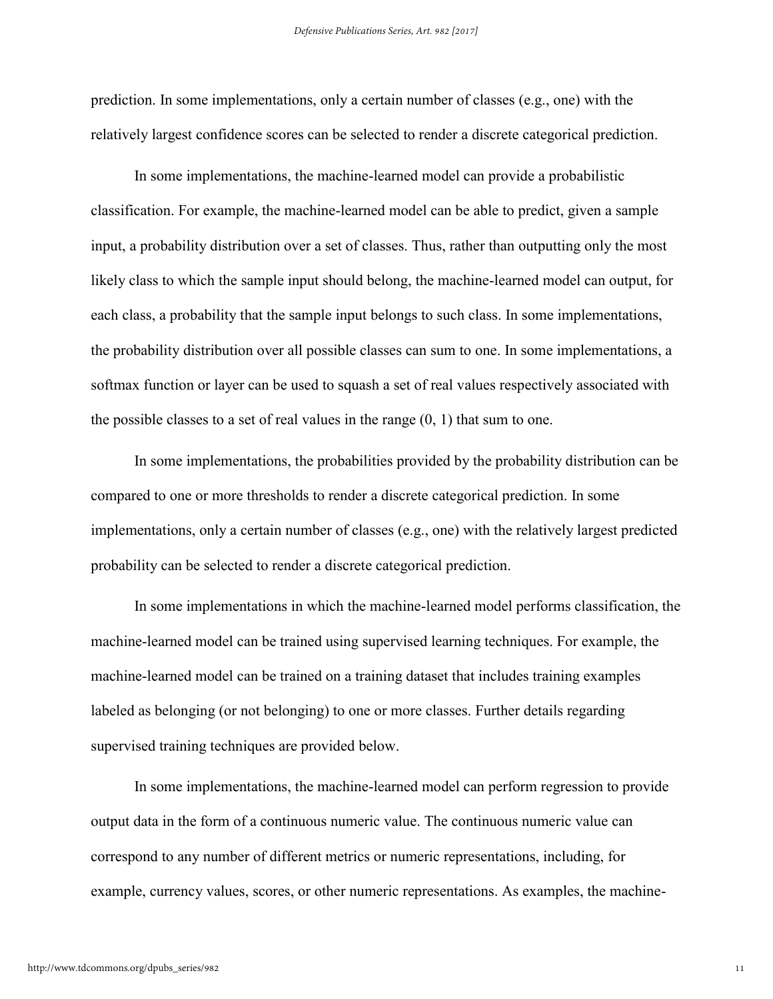prediction. In some implementations, only a certain number of classes (e.g., one) with the relatively largest confidence scores can be selected to render a discrete categorical prediction.

In some implementations, the machine-learned model can provide a probabilistic classification. For example, the machine-learned model can be able to predict, given a sample input, a probability distribution over a set of classes. Thus, rather than outputting only the most likely class to which the sample input should belong, the machine-learned model can output, for each class, a probability that the sample input belongs to such class. In some implementations, the probability distribution over all possible classes can sum to one. In some implementations, a softmax function or layer can be used to squash a set of real values respectively associated with the possible classes to a set of real values in the range  $(0, 1)$  that sum to one.

In some implementations, the probabilities provided by the probability distribution can be compared to one or more thresholds to render a discrete categorical prediction. In some implementations, only a certain number of classes (e.g., one) with the relatively largest predicted probability can be selected to render a discrete categorical prediction.

In some implementations in which the machine-learned model performs classification, the machine-learned model can be trained using supervised learning techniques. For example, the machine-learned model can be trained on a training dataset that includes training examples labeled as belonging (or not belonging) to one or more classes. Further details regarding supervised training techniques are provided below.

In some implementations, the machine-learned model can perform regression to provide output data in the form of a continuous numeric value. The continuous numeric value can correspond to any number of different metrics or numeric representations, including, for example, currency values, scores, or other numeric representations. As examples, the machine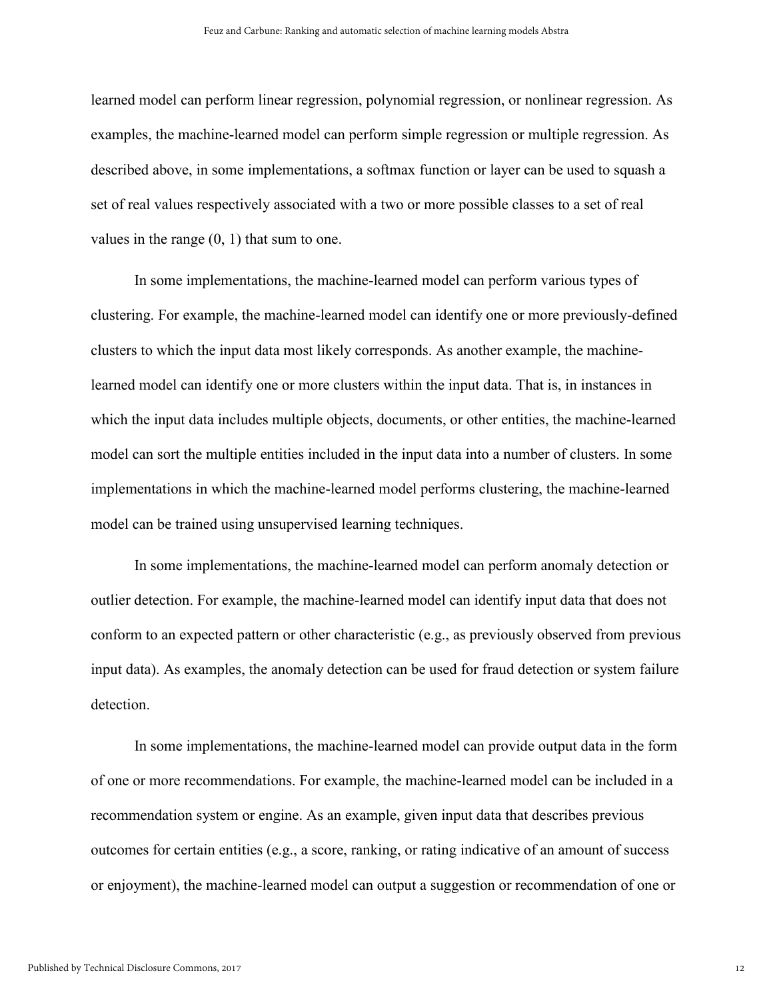learned model can perform linear regression, polynomial regression, or nonlinear regression. As examples, the machine-learned model can perform simple regression or multiple regression. As described above, in some implementations, a softmax function or layer can be used to squash a set of real values respectively associated with a two or more possible classes to a set of real values in the range (0, 1) that sum to one.

In some implementations, the machine-learned model can perform various types of clustering. For example, the machine-learned model can identify one or more previously-defined clusters to which the input data most likely corresponds. As another example, the machinelearned model can identify one or more clusters within the input data. That is, in instances in which the input data includes multiple objects, documents, or other entities, the machine-learned model can sort the multiple entities included in the input data into a number of clusters. In some implementations in which the machine-learned model performs clustering, the machine-learned model can be trained using unsupervised learning techniques.

In some implementations, the machine-learned model can perform anomaly detection or outlier detection. For example, the machine-learned model can identify input data that does not conform to an expected pattern or other characteristic (e.g., as previously observed from previous input data). As examples, the anomaly detection can be used for fraud detection or system failure detection.

In some implementations, the machine-learned model can provide output data in the form of one or more recommendations. For example, the machine-learned model can be included in a recommendation system or engine. As an example, given input data that describes previous outcomes for certain entities (e.g., a score, ranking, or rating indicative of an amount of success or enjoyment), the machine-learned model can output a suggestion or recommendation of one or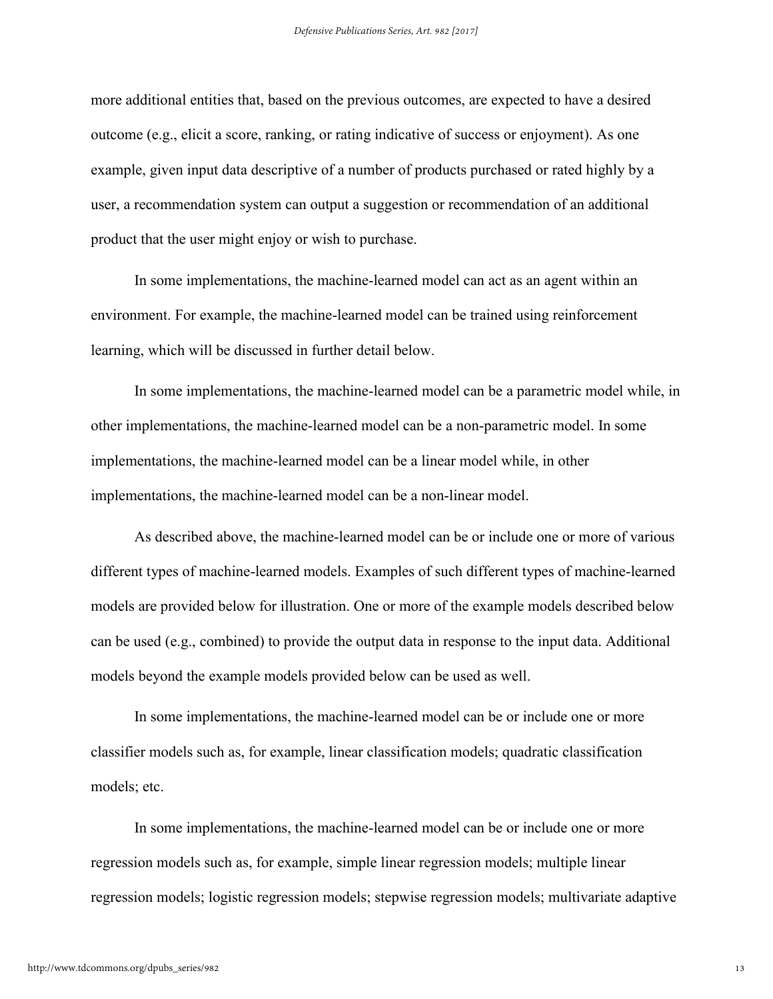more additional entities that, based on the previous outcomes, are expected to have a desired outcome (e.g., elicit a score, ranking, or rating indicative of success or enjoyment). As one example, given input data descriptive of a number of products purchased or rated highly by a user, a recommendation system can output a suggestion or recommendation of an additional product that the user might enjoy or wish to purchase.

In some implementations, the machine-learned model can act as an agent within an environment. For example, the machine-learned model can be trained using reinforcement learning, which will be discussed in further detail below.

In some implementations, the machine-learned model can be a parametric model while, in other implementations, the machine-learned model can be a non-parametric model. In some implementations, the machine-learned model can be a linear model while, in other implementations, the machine-learned model can be a non-linear model.

As described above, the machine-learned model can be or include one or more of various different types of machine-learned models. Examples of such different types of machine-learned models are provided below for illustration. One or more of the example models described below can be used (e.g., combined) to provide the output data in response to the input data. Additional models beyond the example models provided below can be used as well.

In some implementations, the machine-learned model can be or include one or more classifier models such as, for example, linear classification models; quadratic classification models; etc.

In some implementations, the machine-learned model can be or include one or more regression models such as, for example, simple linear regression models; multiple linear regression models; logistic regression models; stepwise regression models; multivariate adaptive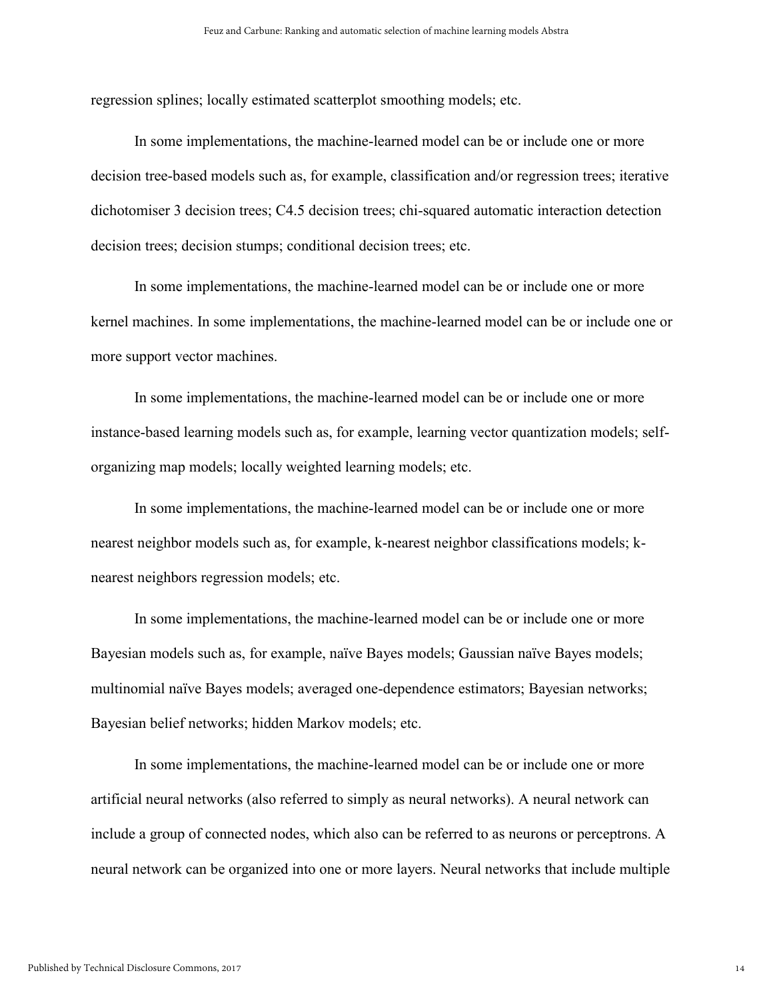regression splines; locally estimated scatterplot smoothing models; etc.

In some implementations, the machine-learned model can be or include one or more decision tree-based models such as, for example, classification and/or regression trees; iterative dichotomiser 3 decision trees; C4.5 decision trees; chi-squared automatic interaction detection decision trees; decision stumps; conditional decision trees; etc.

In some implementations, the machine-learned model can be or include one or more kernel machines. In some implementations, the machine-learned model can be or include one or more support vector machines.

In some implementations, the machine-learned model can be or include one or more instance-based learning models such as, for example, learning vector quantization models; selforganizing map models; locally weighted learning models; etc.

In some implementations, the machine-learned model can be or include one or more nearest neighbor models such as, for example, k-nearest neighbor classifications models; knearest neighbors regression models; etc.

In some implementations, the machine-learned model can be or include one or more Bayesian models such as, for example, naïve Bayes models; Gaussian naïve Bayes models; multinomial naïve Bayes models; averaged one-dependence estimators; Bayesian networks; Bayesian belief networks; hidden Markov models; etc.

In some implementations, the machine-learned model can be or include one or more artificial neural networks (also referred to simply as neural networks). A neural network can include a group of connected nodes, which also can be referred to as neurons or perceptrons. A neural network can be organized into one or more layers. Neural networks that include multiple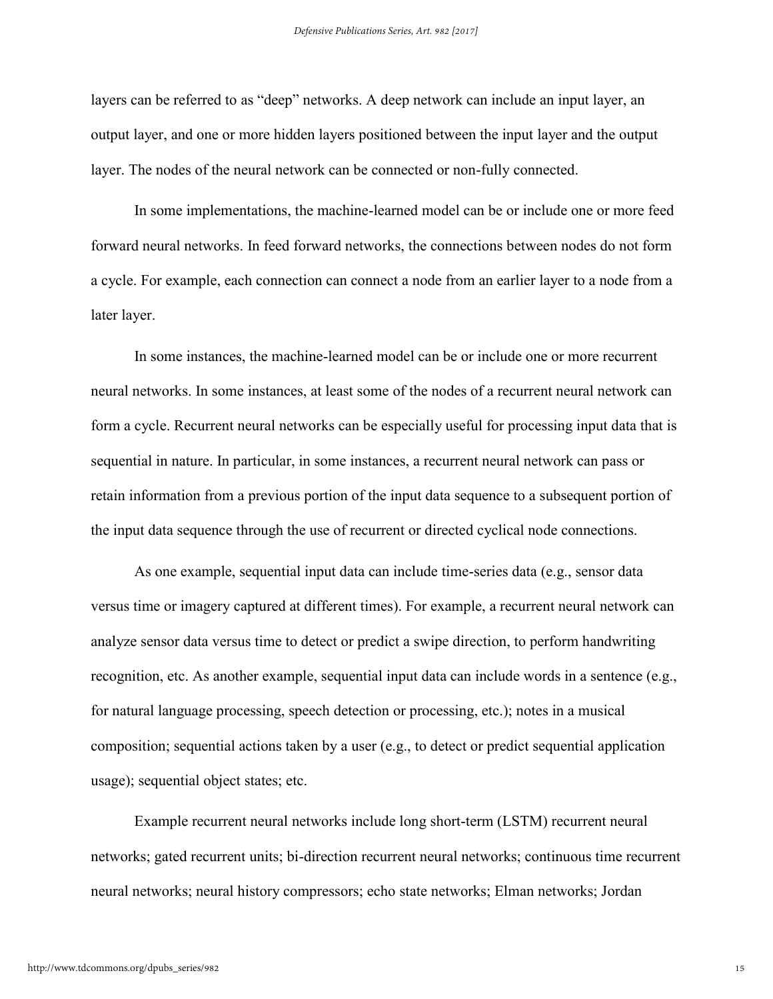layers can be referred to as "deep" networks. A deep network can include an input layer, an output layer, and one or more hidden layers positioned between the input layer and the output layer. The nodes of the neural network can be connected or non-fully connected.

In some implementations, the machine-learned model can be or include one or more feed forward neural networks. In feed forward networks, the connections between nodes do not form a cycle. For example, each connection can connect a node from an earlier layer to a node from a later layer.

In some instances, the machine-learned model can be or include one or more recurrent neural networks. In some instances, at least some of the nodes of a recurrent neural network can form a cycle. Recurrent neural networks can be especially useful for processing input data that is sequential in nature. In particular, in some instances, a recurrent neural network can pass or retain information from a previous portion of the input data sequence to a subsequent portion of the input data sequence through the use of recurrent or directed cyclical node connections.

As one example, sequential input data can include time-series data (e.g., sensor data versus time or imagery captured at different times). For example, a recurrent neural network can analyze sensor data versus time to detect or predict a swipe direction, to perform handwriting recognition, etc. As another example, sequential input data can include words in a sentence (e.g., for natural language processing, speech detection or processing, etc.); notes in a musical composition; sequential actions taken by a user (e.g., to detect or predict sequential application usage); sequential object states; etc.

Example recurrent neural networks include long short-term (LSTM) recurrent neural networks; gated recurrent units; bi-direction recurrent neural networks; continuous time recurrent neural networks; neural history compressors; echo state networks; Elman networks; Jordan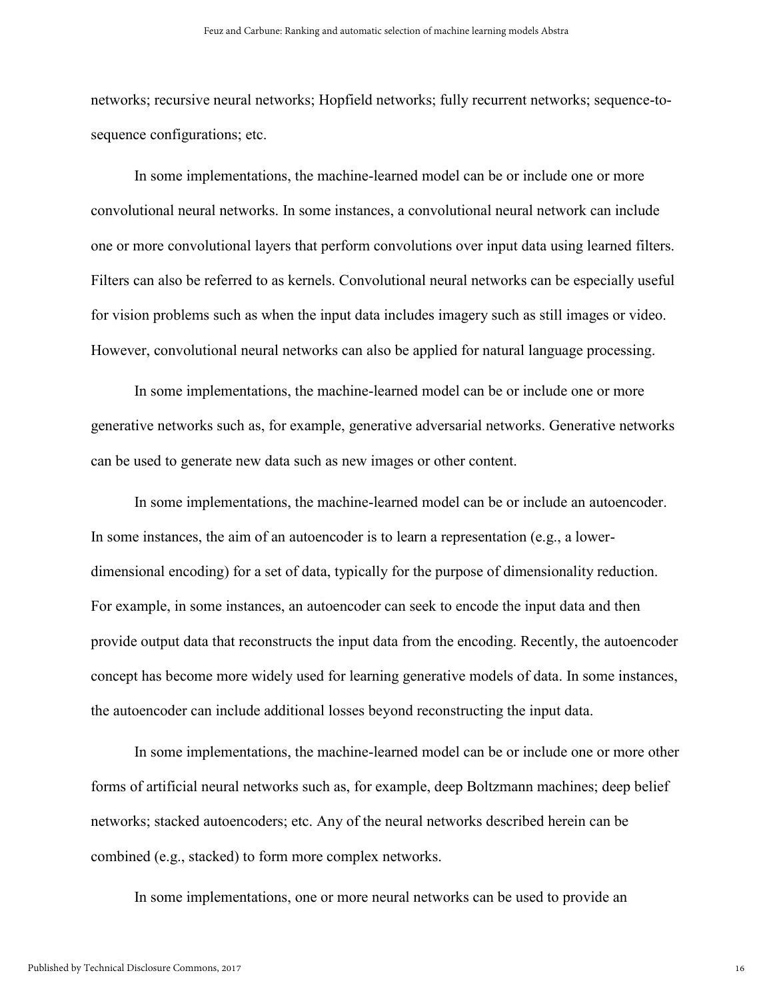networks; recursive neural networks; Hopfield networks; fully recurrent networks; sequence-tosequence configurations; etc.

In some implementations, the machine-learned model can be or include one or more convolutional neural networks. In some instances, a convolutional neural network can include one or more convolutional layers that perform convolutions over input data using learned filters. Filters can also be referred to as kernels. Convolutional neural networks can be especially useful for vision problems such as when the input data includes imagery such as still images or video. However, convolutional neural networks can also be applied for natural language processing.

In some implementations, the machine-learned model can be or include one or more generative networks such as, for example, generative adversarial networks. Generative networks can be used to generate new data such as new images or other content.

In some implementations, the machine-learned model can be or include an autoencoder. In some instances, the aim of an autoencoder is to learn a representation (e.g., a lowerdimensional encoding) for a set of data, typically for the purpose of dimensionality reduction. For example, in some instances, an autoencoder can seek to encode the input data and then provide output data that reconstructs the input data from the encoding. Recently, the autoencoder concept has become more widely used for learning generative models of data. In some instances, the autoencoder can include additional losses beyond reconstructing the input data.

In some implementations, the machine-learned model can be or include one or more other forms of artificial neural networks such as, for example, deep Boltzmann machines; deep belief networks; stacked autoencoders; etc. Any of the neural networks described herein can be combined (e.g., stacked) to form more complex networks.

In some implementations, one or more neural networks can be used to provide an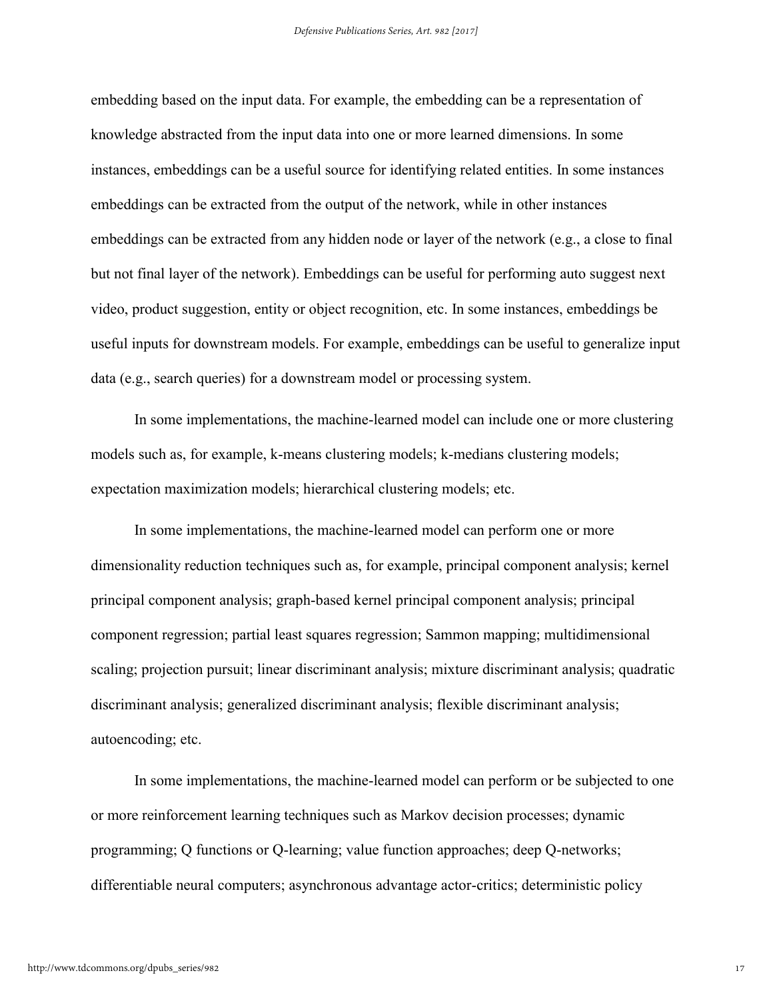embedding based on the input data. For example, the embedding can be a representation of knowledge abstracted from the input data into one or more learned dimensions. In some instances, embeddings can be a useful source for identifying related entities. In some instances embeddings can be extracted from the output of the network, while in other instances embeddings can be extracted from any hidden node or layer of the network (e.g., a close to final but not final layer of the network). Embeddings can be useful for performing auto suggest next video, product suggestion, entity or object recognition, etc. In some instances, embeddings be useful inputs for downstream models. For example, embeddings can be useful to generalize input data (e.g., search queries) for a downstream model or processing system.

In some implementations, the machine-learned model can include one or more clustering models such as, for example, k-means clustering models; k-medians clustering models; expectation maximization models; hierarchical clustering models; etc.

In some implementations, the machine-learned model can perform one or more dimensionality reduction techniques such as, for example, principal component analysis; kernel principal component analysis; graph-based kernel principal component analysis; principal component regression; partial least squares regression; Sammon mapping; multidimensional scaling; projection pursuit; linear discriminant analysis; mixture discriminant analysis; quadratic discriminant analysis; generalized discriminant analysis; flexible discriminant analysis; autoencoding; etc.

In some implementations, the machine-learned model can perform or be subjected to one or more reinforcement learning techniques such as Markov decision processes; dynamic programming; Q functions or Q-learning; value function approaches; deep Q-networks; differentiable neural computers; asynchronous advantage actor-critics; deterministic policy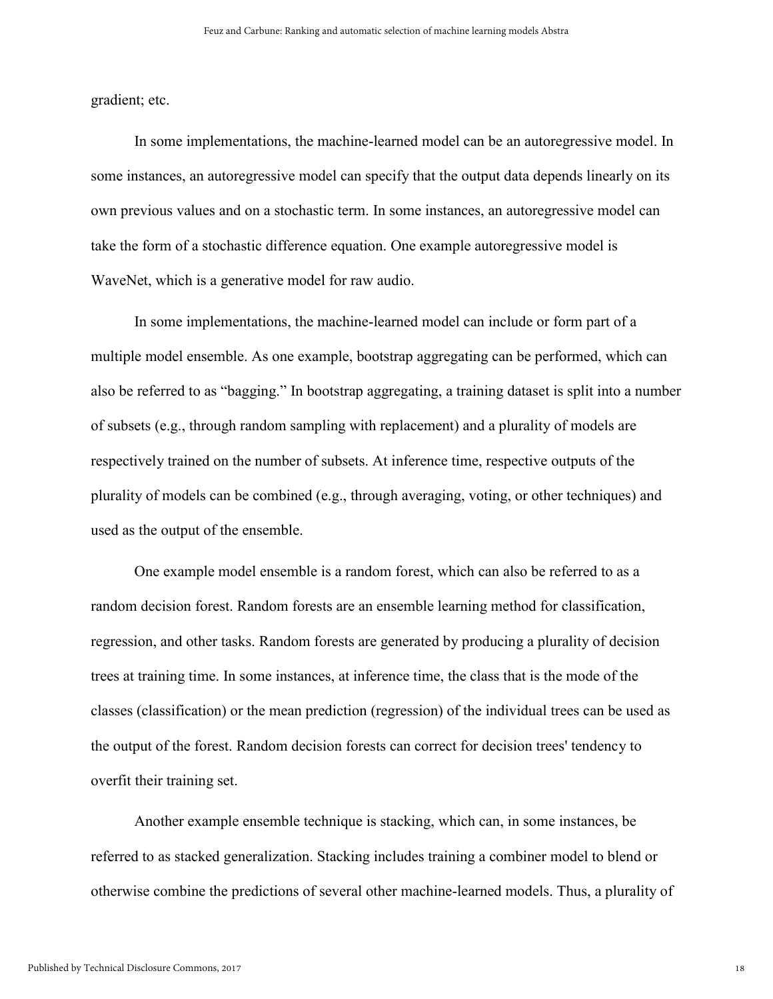gradient; etc.

In some implementations, the machine-learned model can be an autoregressive model. In some instances, an autoregressive model can specify that the output data depends linearly on its own previous values and on a stochastic term. In some instances, an autoregressive model can take the form of a stochastic difference equation. One example autoregressive model is WaveNet, which is a generative model for raw audio.

In some implementations, the machine-learned model can include or form part of a multiple model ensemble. As one example, bootstrap aggregating can be performed, which can also be referred to as "bagging." In bootstrap aggregating, a training dataset is split into a number of subsets (e.g., through random sampling with replacement) and a plurality of models are respectively trained on the number of subsets. At inference time, respective outputs of the plurality of models can be combined (e.g., through averaging, voting, or other techniques) and used as the output of the ensemble.

One example model ensemble is a random forest, which can also be referred to as a random decision forest. Random forests are an ensemble learning method for classification, regression, and other tasks. Random forests are generated by producing a plurality of decision trees at training time. In some instances, at inference time, the class that is the mode of the classes (classification) or the mean prediction (regression) of the individual trees can be used as the output of the forest. Random decision forests can correct for decision trees' tendency to overfit their training set.

Another example ensemble technique is stacking, which can, in some instances, be referred to as stacked generalization. Stacking includes training a combiner model to blend or otherwise combine the predictions of several other machine-learned models. Thus, a plurality of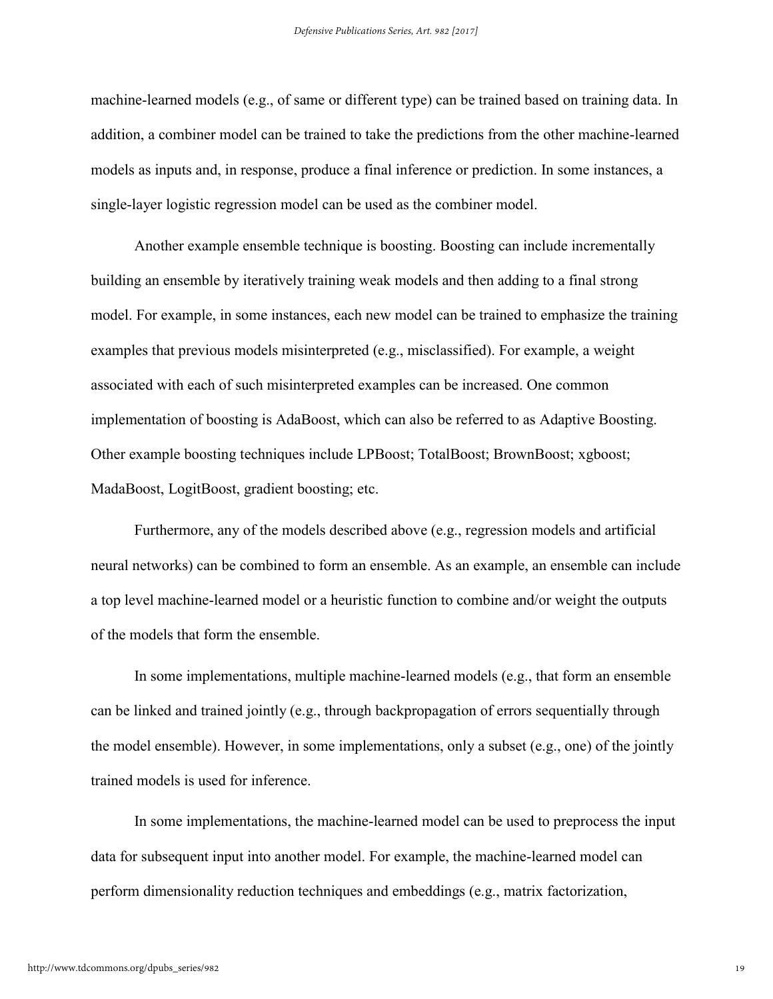machine-learned models (e.g., of same or different type) can be trained based on training data. In addition, a combiner model can be trained to take the predictions from the other machine-learned models as inputs and, in response, produce a final inference or prediction. In some instances, a single-layer logistic regression model can be used as the combiner model.

Another example ensemble technique is boosting. Boosting can include incrementally building an ensemble by iteratively training weak models and then adding to a final strong model. For example, in some instances, each new model can be trained to emphasize the training examples that previous models misinterpreted (e.g., misclassified). For example, a weight associated with each of such misinterpreted examples can be increased. One common implementation of boosting is AdaBoost, which can also be referred to as Adaptive Boosting. Other example boosting techniques include LPBoost; TotalBoost; BrownBoost; xgboost; MadaBoost, LogitBoost, gradient boosting; etc.

Furthermore, any of the models described above (e.g., regression models and artificial neural networks) can be combined to form an ensemble. As an example, an ensemble can include a top level machine-learned model or a heuristic function to combine and/or weight the outputs of the models that form the ensemble.

In some implementations, multiple machine-learned models (e.g., that form an ensemble can be linked and trained jointly (e.g., through backpropagation of errors sequentially through the model ensemble). However, in some implementations, only a subset (e.g., one) of the jointly trained models is used for inference.

In some implementations, the machine-learned model can be used to preprocess the input data for subsequent input into another model. For example, the machine-learned model can perform dimensionality reduction techniques and embeddings (e.g., matrix factorization,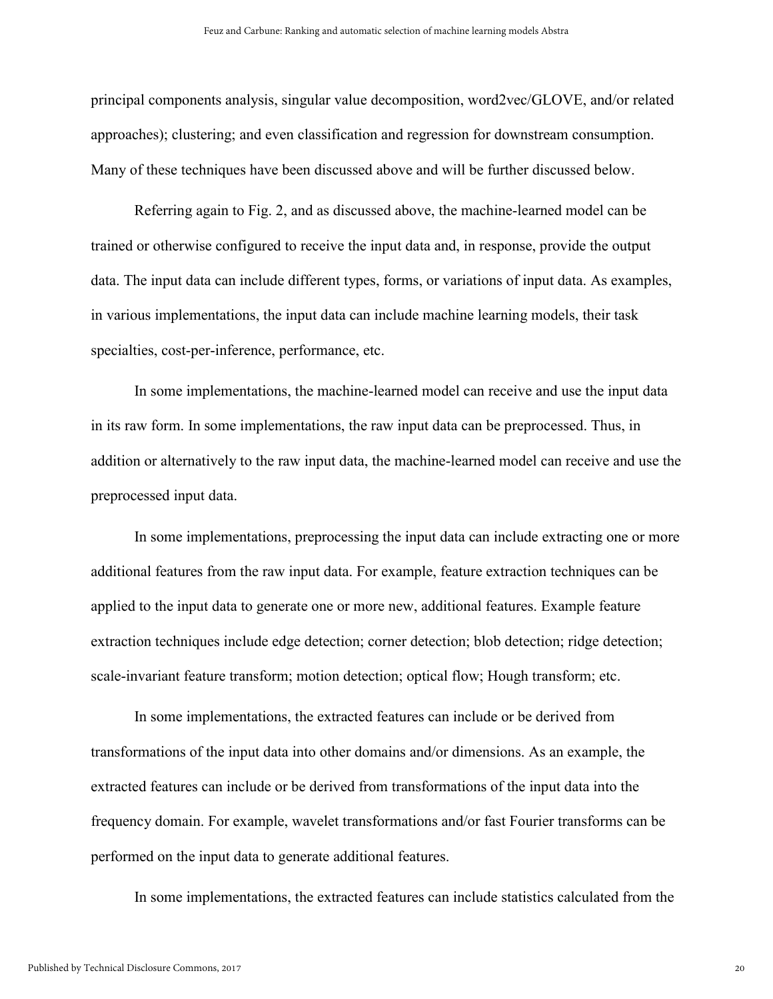principal components analysis, singular value decomposition, word2vec/GLOVE, and/or related approaches); clustering; and even classification and regression for downstream consumption. Many of these techniques have been discussed above and will be further discussed below.

Referring again to Fig. 2, and as discussed above, the machine-learned model can be trained or otherwise configured to receive the input data and, in response, provide the output data. The input data can include different types, forms, or variations of input data. As examples, in various implementations, the input data can include machine learning models, their task specialties, cost-per-inference, performance, etc.

In some implementations, the machine-learned model can receive and use the input data in its raw form. In some implementations, the raw input data can be preprocessed. Thus, in addition or alternatively to the raw input data, the machine-learned model can receive and use the preprocessed input data.

In some implementations, preprocessing the input data can include extracting one or more additional features from the raw input data. For example, feature extraction techniques can be applied to the input data to generate one or more new, additional features. Example feature extraction techniques include edge detection; corner detection; blob detection; ridge detection; scale-invariant feature transform; motion detection; optical flow; Hough transform; etc.

In some implementations, the extracted features can include or be derived from transformations of the input data into other domains and/or dimensions. As an example, the extracted features can include or be derived from transformations of the input data into the frequency domain. For example, wavelet transformations and/or fast Fourier transforms can be performed on the input data to generate additional features.

In some implementations, the extracted features can include statistics calculated from the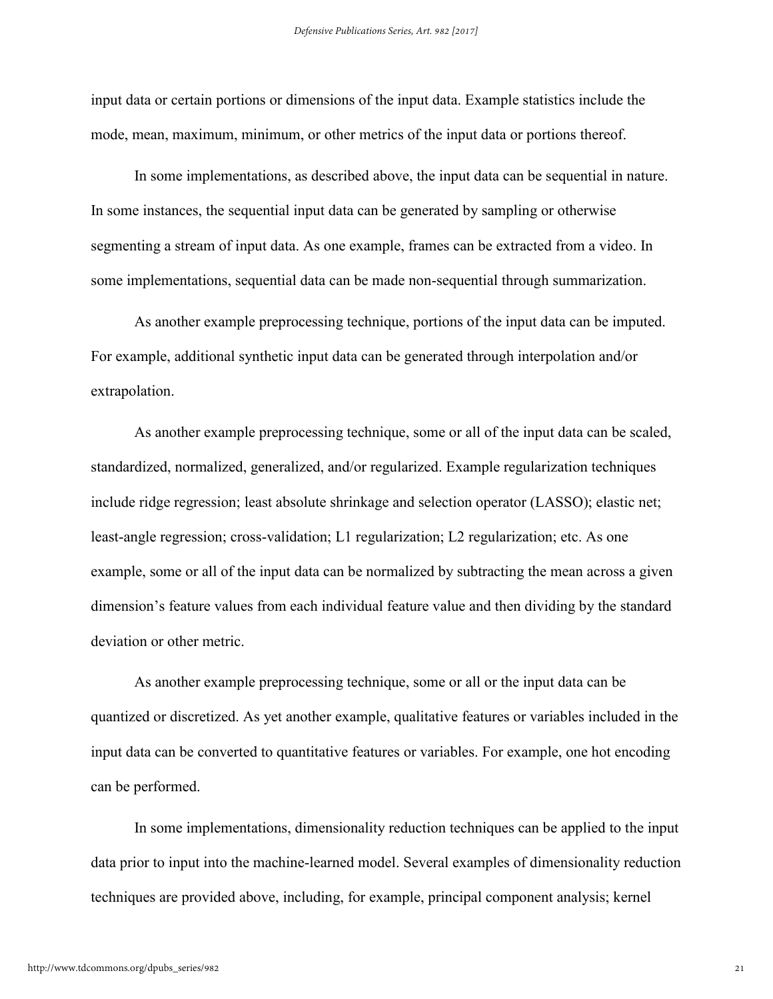input data or certain portions or dimensions of the input data. Example statistics include the mode, mean, maximum, minimum, or other metrics of the input data or portions thereof.

In some implementations, as described above, the input data can be sequential in nature. In some instances, the sequential input data can be generated by sampling or otherwise segmenting a stream of input data. As one example, frames can be extracted from a video. In some implementations, sequential data can be made non-sequential through summarization.

As another example preprocessing technique, portions of the input data can be imputed. For example, additional synthetic input data can be generated through interpolation and/or extrapolation.

As another example preprocessing technique, some or all of the input data can be scaled, standardized, normalized, generalized, and/or regularized. Example regularization techniques include ridge regression; least absolute shrinkage and selection operator (LASSO); elastic net; least-angle regression; cross-validation; L1 regularization; L2 regularization; etc. As one example, some or all of the input data can be normalized by subtracting the mean across a given dimension's feature values from each individual feature value and then dividing by the standard deviation or other metric.

As another example preprocessing technique, some or all or the input data can be quantized or discretized. As yet another example, qualitative features or variables included in the input data can be converted to quantitative features or variables. For example, one hot encoding can be performed.

In some implementations, dimensionality reduction techniques can be applied to the input data prior to input into the machine-learned model. Several examples of dimensionality reduction techniques are provided above, including, for example, principal component analysis; kernel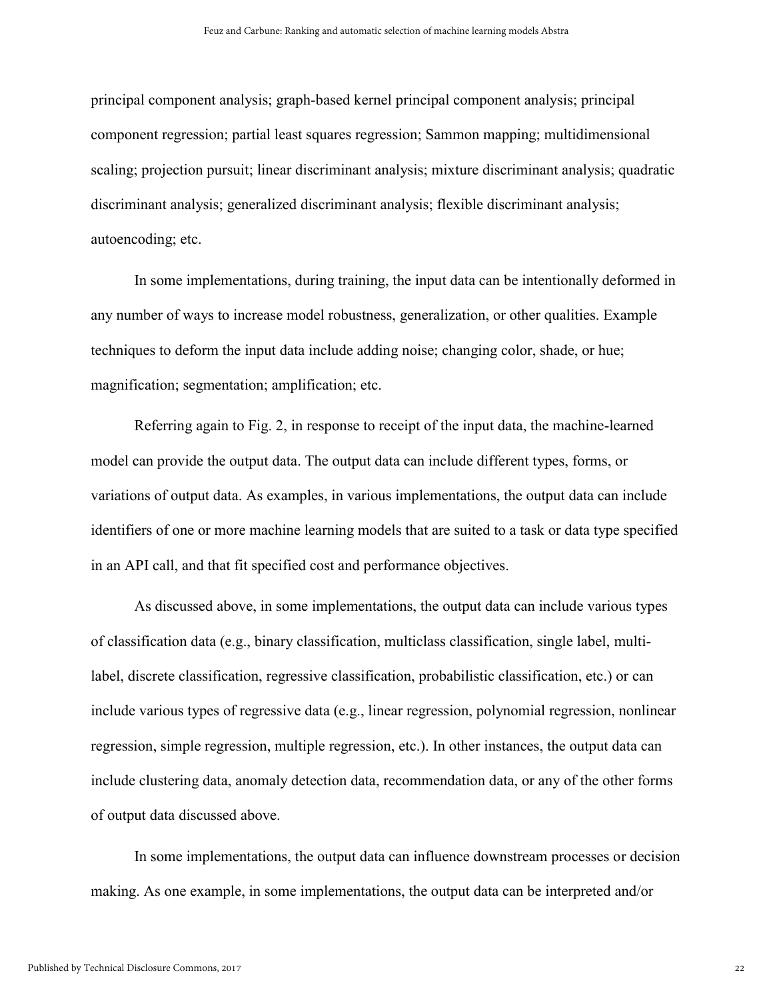principal component analysis; graph-based kernel principal component analysis; principal component regression; partial least squares regression; Sammon mapping; multidimensional scaling; projection pursuit; linear discriminant analysis; mixture discriminant analysis; quadratic discriminant analysis; generalized discriminant analysis; flexible discriminant analysis; autoencoding; etc.

In some implementations, during training, the input data can be intentionally deformed in any number of ways to increase model robustness, generalization, or other qualities. Example techniques to deform the input data include adding noise; changing color, shade, or hue; magnification; segmentation; amplification; etc.

Referring again to Fig. 2, in response to receipt of the input data, the machine-learned model can provide the output data. The output data can include different types, forms, or variations of output data. As examples, in various implementations, the output data can include identifiers of one or more machine learning models that are suited to a task or data type specified in an API call, and that fit specified cost and performance objectives.

As discussed above, in some implementations, the output data can include various types of classification data (e.g., binary classification, multiclass classification, single label, multilabel, discrete classification, regressive classification, probabilistic classification, etc.) or can include various types of regressive data (e.g., linear regression, polynomial regression, nonlinear regression, simple regression, multiple regression, etc.). In other instances, the output data can include clustering data, anomaly detection data, recommendation data, or any of the other forms of output data discussed above.

In some implementations, the output data can influence downstream processes or decision making. As one example, in some implementations, the output data can be interpreted and/or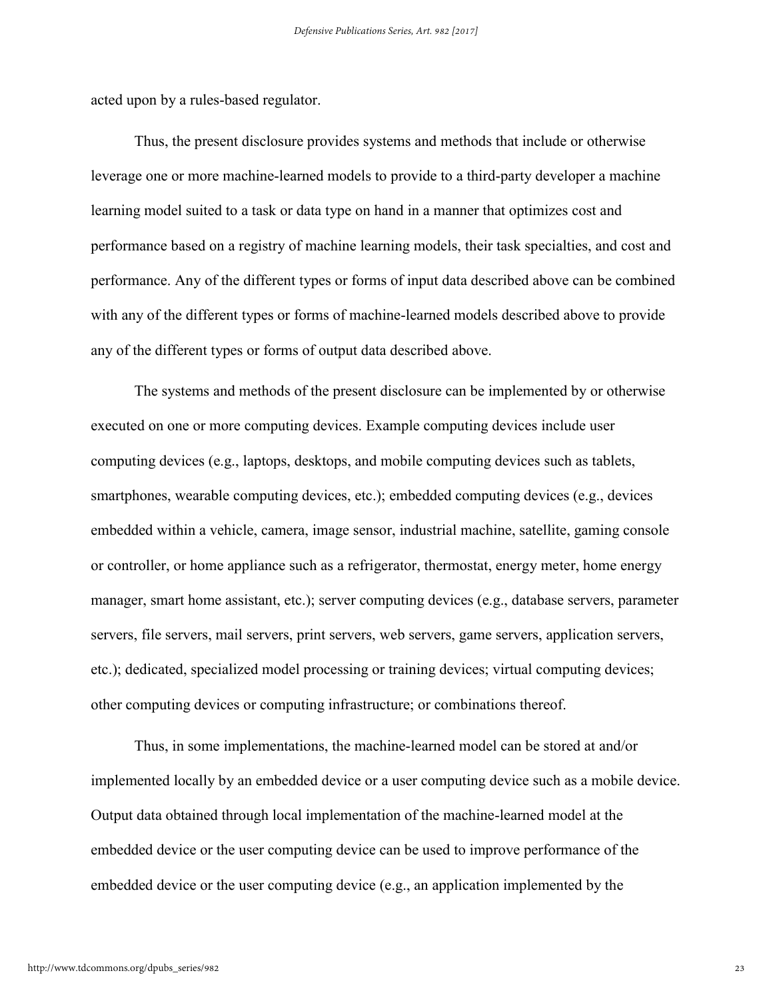acted upon by a rules-based regulator.

Thus, the present disclosure provides systems and methods that include or otherwise leverage one or more machine-learned models to provide to a third-party developer a machine learning model suited to a task or data type on hand in a manner that optimizes cost and performance based on a registry of machine learning models, their task specialties, and cost and performance. Any of the different types or forms of input data described above can be combined with any of the different types or forms of machine-learned models described above to provide any of the different types or forms of output data described above.

The systems and methods of the present disclosure can be implemented by or otherwise executed on one or more computing devices. Example computing devices include user computing devices (e.g., laptops, desktops, and mobile computing devices such as tablets, smartphones, wearable computing devices, etc.); embedded computing devices (e.g., devices embedded within a vehicle, camera, image sensor, industrial machine, satellite, gaming console or controller, or home appliance such as a refrigerator, thermostat, energy meter, home energy manager, smart home assistant, etc.); server computing devices (e.g., database servers, parameter servers, file servers, mail servers, print servers, web servers, game servers, application servers, etc.); dedicated, specialized model processing or training devices; virtual computing devices; other computing devices or computing infrastructure; or combinations thereof.

Thus, in some implementations, the machine-learned model can be stored at and/or implemented locally by an embedded device or a user computing device such as a mobile device. Output data obtained through local implementation of the machine-learned model at the embedded device or the user computing device can be used to improve performance of the embedded device or the user computing device (e.g., an application implemented by the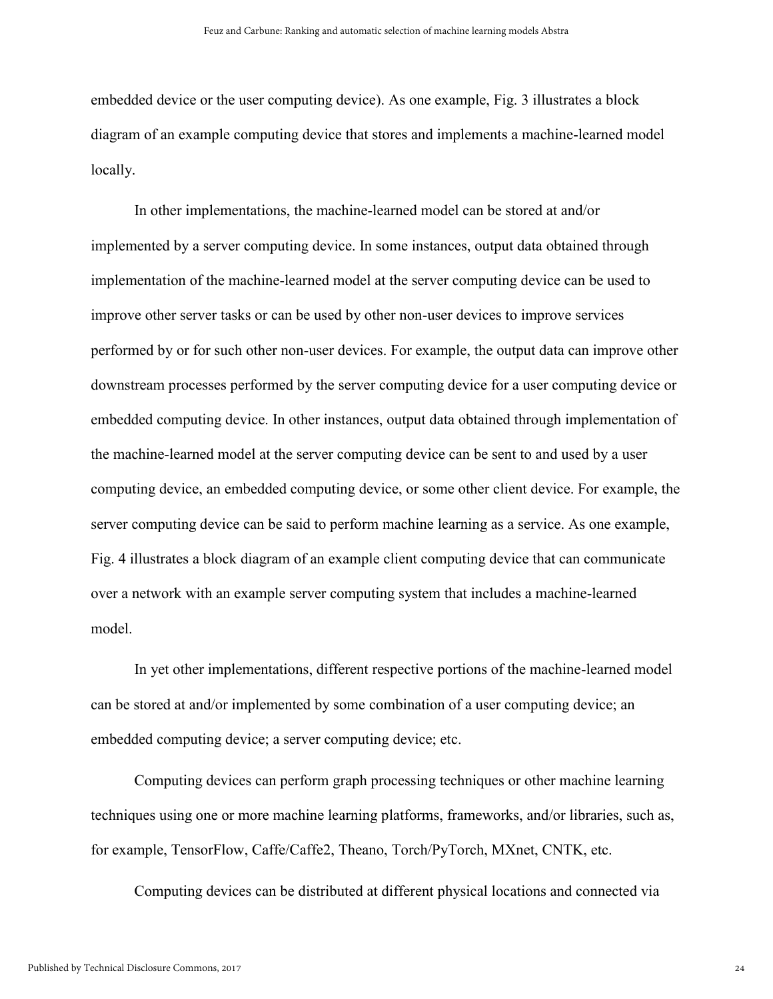embedded device or the user computing device). As one example, Fig. 3 illustrates a block diagram of an example computing device that stores and implements a machine-learned model locally.

In other implementations, the machine-learned model can be stored at and/or implemented by a server computing device. In some instances, output data obtained through implementation of the machine-learned model at the server computing device can be used to improve other server tasks or can be used by other non-user devices to improve services performed by or for such other non-user devices. For example, the output data can improve other downstream processes performed by the server computing device for a user computing device or embedded computing device. In other instances, output data obtained through implementation of the machine-learned model at the server computing device can be sent to and used by a user computing device, an embedded computing device, or some other client device. For example, the server computing device can be said to perform machine learning as a service. As one example, Fig. 4 illustrates a block diagram of an example client computing device that can communicate over a network with an example server computing system that includes a machine-learned model.

In yet other implementations, different respective portions of the machine-learned model can be stored at and/or implemented by some combination of a user computing device; an embedded computing device; a server computing device; etc.

Computing devices can perform graph processing techniques or other machine learning techniques using one or more machine learning platforms, frameworks, and/or libraries, such as, for example, TensorFlow, Caffe/Caffe2, Theano, Torch/PyTorch, MXnet, CNTK, etc.

Computing devices can be distributed at different physical locations and connected via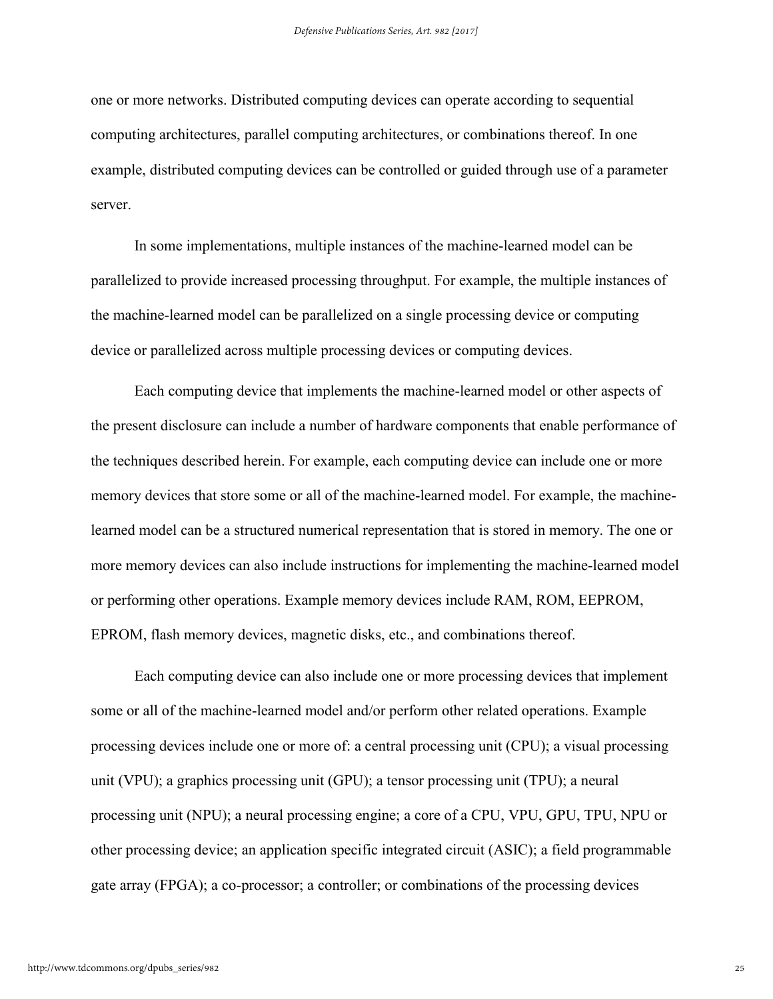one or more networks. Distributed computing devices can operate according to sequential computing architectures, parallel computing architectures, or combinations thereof. In one example, distributed computing devices can be controlled or guided through use of a parameter server.

In some implementations, multiple instances of the machine-learned model can be parallelized to provide increased processing throughput. For example, the multiple instances of the machine-learned model can be parallelized on a single processing device or computing device or parallelized across multiple processing devices or computing devices.

Each computing device that implements the machine-learned model or other aspects of the present disclosure can include a number of hardware components that enable performance of the techniques described herein. For example, each computing device can include one or more memory devices that store some or all of the machine-learned model. For example, the machinelearned model can be a structured numerical representation that is stored in memory. The one or more memory devices can also include instructions for implementing the machine-learned model or performing other operations. Example memory devices include RAM, ROM, EEPROM, EPROM, flash memory devices, magnetic disks, etc., and combinations thereof.

Each computing device can also include one or more processing devices that implement some or all of the machine-learned model and/or perform other related operations. Example processing devices include one or more of: a central processing unit (CPU); a visual processing unit (VPU); a graphics processing unit (GPU); a tensor processing unit (TPU); a neural processing unit (NPU); a neural processing engine; a core of a CPU, VPU, GPU, TPU, NPU or other processing device; an application specific integrated circuit (ASIC); a field programmable gate array (FPGA); a co-processor; a controller; or combinations of the processing devices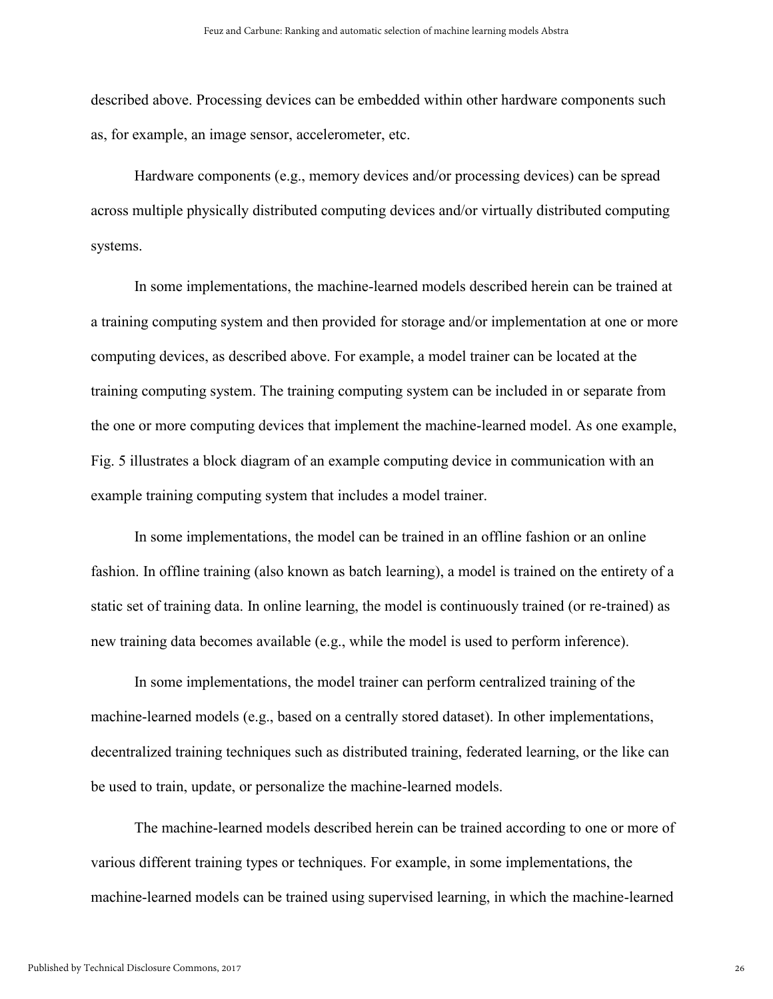described above. Processing devices can be embedded within other hardware components such as, for example, an image sensor, accelerometer, etc.

Hardware components (e.g., memory devices and/or processing devices) can be spread across multiple physically distributed computing devices and/or virtually distributed computing systems.

In some implementations, the machine-learned models described herein can be trained at a training computing system and then provided for storage and/or implementation at one or more computing devices, as described above. For example, a model trainer can be located at the training computing system. The training computing system can be included in or separate from the one or more computing devices that implement the machine-learned model. As one example, Fig. 5 illustrates a block diagram of an example computing device in communication with an example training computing system that includes a model trainer.

In some implementations, the model can be trained in an offline fashion or an online fashion. In offline training (also known as batch learning), a model is trained on the entirety of a static set of training data. In online learning, the model is continuously trained (or re-trained) as new training data becomes available (e.g., while the model is used to perform inference).

In some implementations, the model trainer can perform centralized training of the machine-learned models (e.g., based on a centrally stored dataset). In other implementations, decentralized training techniques such as distributed training, federated learning, or the like can be used to train, update, or personalize the machine-learned models.

The machine-learned models described herein can be trained according to one or more of various different training types or techniques. For example, in some implementations, the machine-learned models can be trained using supervised learning, in which the machine-learned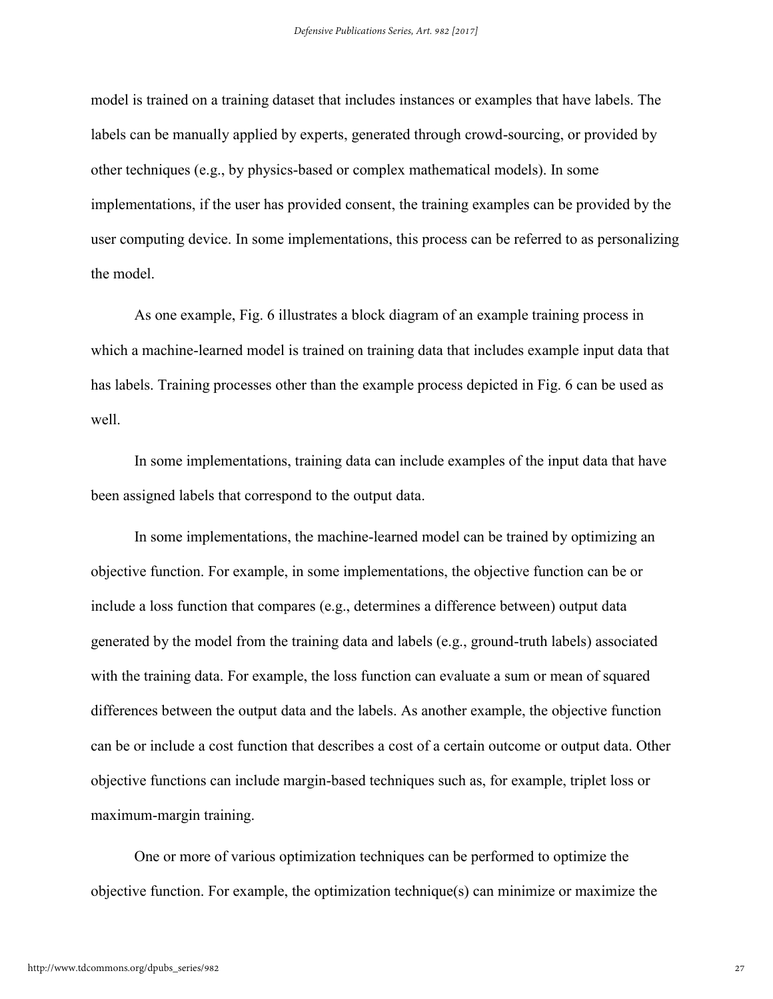model is trained on a training dataset that includes instances or examples that have labels. The labels can be manually applied by experts, generated through crowd-sourcing, or provided by other techniques (e.g., by physics-based or complex mathematical models). In some implementations, if the user has provided consent, the training examples can be provided by the user computing device. In some implementations, this process can be referred to as personalizing the model.

As one example, Fig. 6 illustrates a block diagram of an example training process in which a machine-learned model is trained on training data that includes example input data that has labels. Training processes other than the example process depicted in Fig. 6 can be used as well.

In some implementations, training data can include examples of the input data that have been assigned labels that correspond to the output data.

In some implementations, the machine-learned model can be trained by optimizing an objective function. For example, in some implementations, the objective function can be or include a loss function that compares (e.g., determines a difference between) output data generated by the model from the training data and labels (e.g., ground-truth labels) associated with the training data. For example, the loss function can evaluate a sum or mean of squared differences between the output data and the labels. As another example, the objective function can be or include a cost function that describes a cost of a certain outcome or output data. Other objective functions can include margin-based techniques such as, for example, triplet loss or maximum-margin training.

One or more of various optimization techniques can be performed to optimize the objective function. For example, the optimization technique(s) can minimize or maximize the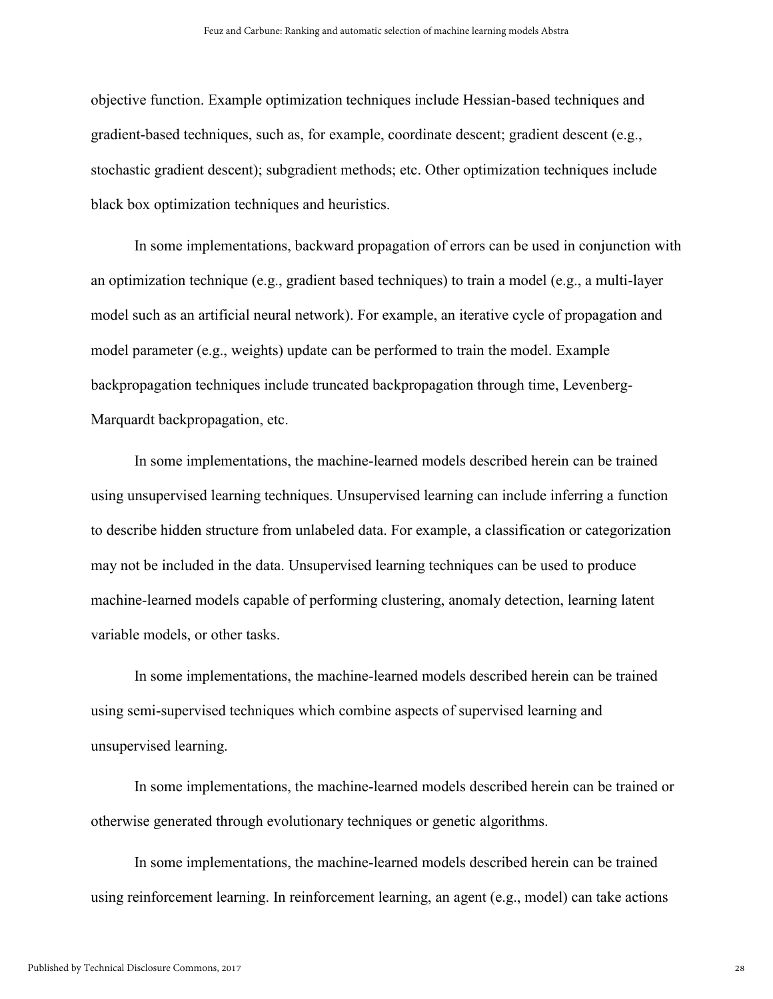objective function. Example optimization techniques include Hessian-based techniques and gradient-based techniques, such as, for example, coordinate descent; gradient descent (e.g., stochastic gradient descent); subgradient methods; etc. Other optimization techniques include black box optimization techniques and heuristics.

In some implementations, backward propagation of errors can be used in conjunction with an optimization technique (e.g., gradient based techniques) to train a model (e.g., a multi-layer model such as an artificial neural network). For example, an iterative cycle of propagation and model parameter (e.g., weights) update can be performed to train the model. Example backpropagation techniques include truncated backpropagation through time, Levenberg-Marquardt backpropagation, etc.

In some implementations, the machine-learned models described herein can be trained using unsupervised learning techniques. Unsupervised learning can include inferring a function to describe hidden structure from unlabeled data. For example, a classification or categorization may not be included in the data. Unsupervised learning techniques can be used to produce machine-learned models capable of performing clustering, anomaly detection, learning latent variable models, or other tasks.

In some implementations, the machine-learned models described herein can be trained using semi-supervised techniques which combine aspects of supervised learning and unsupervised learning.

In some implementations, the machine-learned models described herein can be trained or otherwise generated through evolutionary techniques or genetic algorithms.

In some implementations, the machine-learned models described herein can be trained using reinforcement learning. In reinforcement learning, an agent (e.g., model) can take actions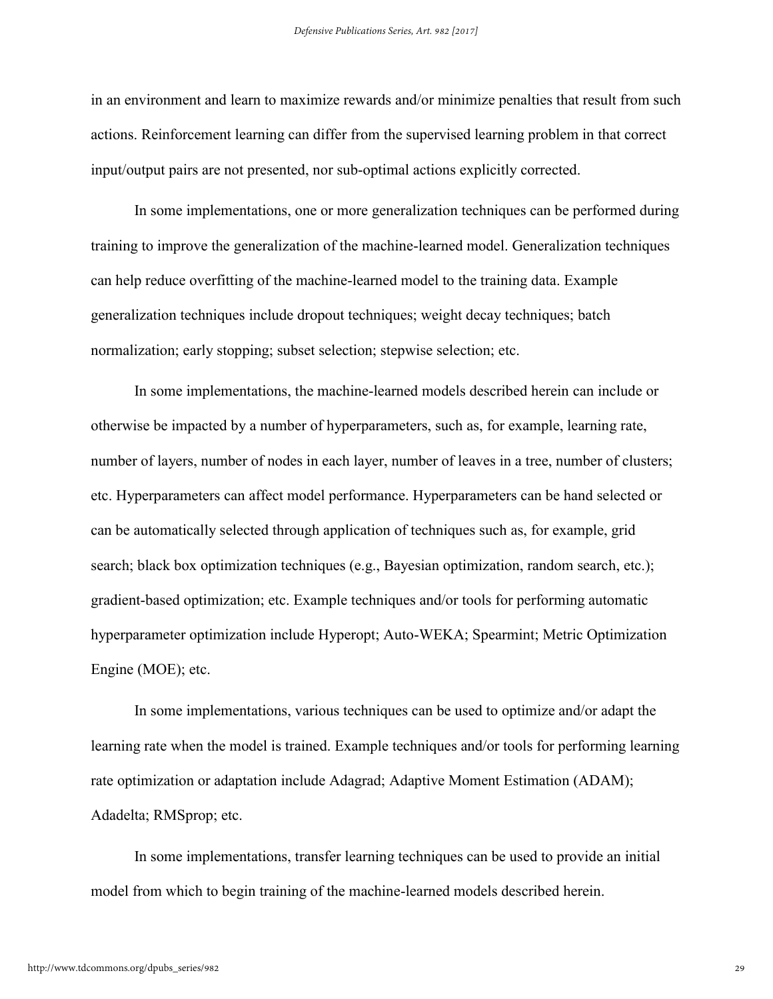in an environment and learn to maximize rewards and/or minimize penalties that result from such actions. Reinforcement learning can differ from the supervised learning problem in that correct input/output pairs are not presented, nor sub-optimal actions explicitly corrected.

In some implementations, one or more generalization techniques can be performed during training to improve the generalization of the machine-learned model. Generalization techniques can help reduce overfitting of the machine-learned model to the training data. Example generalization techniques include dropout techniques; weight decay techniques; batch normalization; early stopping; subset selection; stepwise selection; etc.

In some implementations, the machine-learned models described herein can include or otherwise be impacted by a number of hyperparameters, such as, for example, learning rate, number of layers, number of nodes in each layer, number of leaves in a tree, number of clusters; etc. Hyperparameters can affect model performance. Hyperparameters can be hand selected or can be automatically selected through application of techniques such as, for example, grid search; black box optimization techniques (e.g., Bayesian optimization, random search, etc.); gradient-based optimization; etc. Example techniques and/or tools for performing automatic hyperparameter optimization include Hyperopt; Auto-WEKA; Spearmint; Metric Optimization Engine (MOE); etc.

In some implementations, various techniques can be used to optimize and/or adapt the learning rate when the model is trained. Example techniques and/or tools for performing learning rate optimization or adaptation include Adagrad; Adaptive Moment Estimation (ADAM); Adadelta; RMSprop; etc.

In some implementations, transfer learning techniques can be used to provide an initial model from which to begin training of the machine-learned models described herein.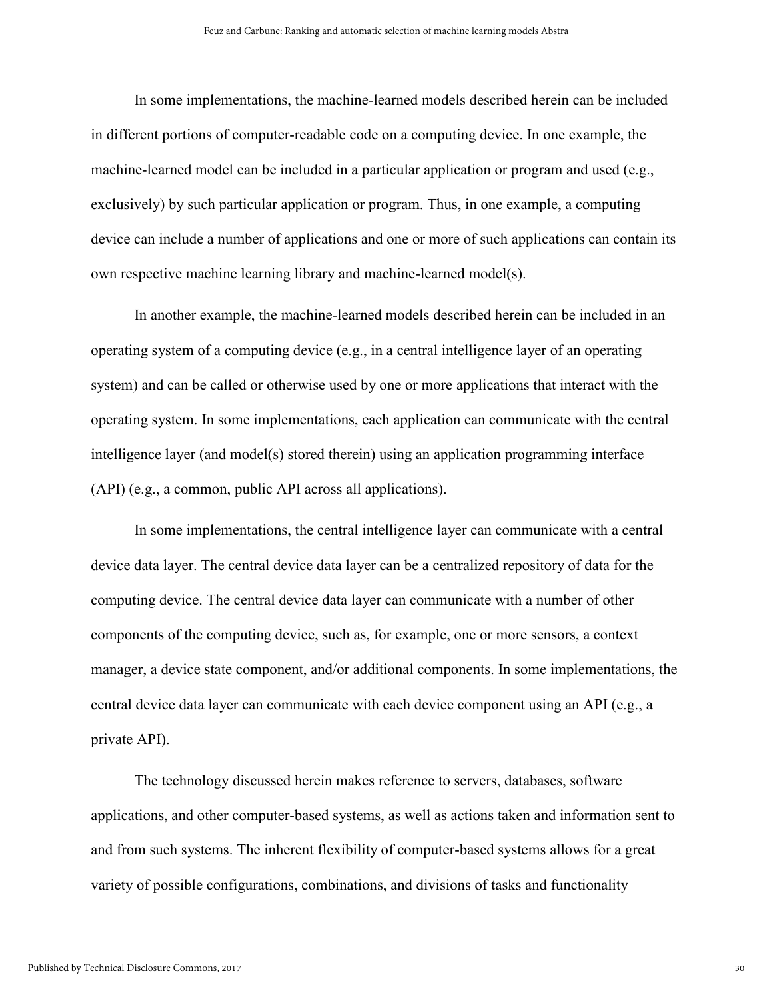In some implementations, the machine-learned models described herein can be included in different portions of computer-readable code on a computing device. In one example, the machine-learned model can be included in a particular application or program and used (e.g., exclusively) by such particular application or program. Thus, in one example, a computing device can include a number of applications and one or more of such applications can contain its own respective machine learning library and machine-learned model(s).

In another example, the machine-learned models described herein can be included in an operating system of a computing device (e.g., in a central intelligence layer of an operating system) and can be called or otherwise used by one or more applications that interact with the operating system. In some implementations, each application can communicate with the central intelligence layer (and model(s) stored therein) using an application programming interface (API) (e.g., a common, public API across all applications).

In some implementations, the central intelligence layer can communicate with a central device data layer. The central device data layer can be a centralized repository of data for the computing device. The central device data layer can communicate with a number of other components of the computing device, such as, for example, one or more sensors, a context manager, a device state component, and/or additional components. In some implementations, the central device data layer can communicate with each device component using an API (e.g., a private API).

The technology discussed herein makes reference to servers, databases, software applications, and other computer-based systems, as well as actions taken and information sent to and from such systems. The inherent flexibility of computer-based systems allows for a great variety of possible configurations, combinations, and divisions of tasks and functionality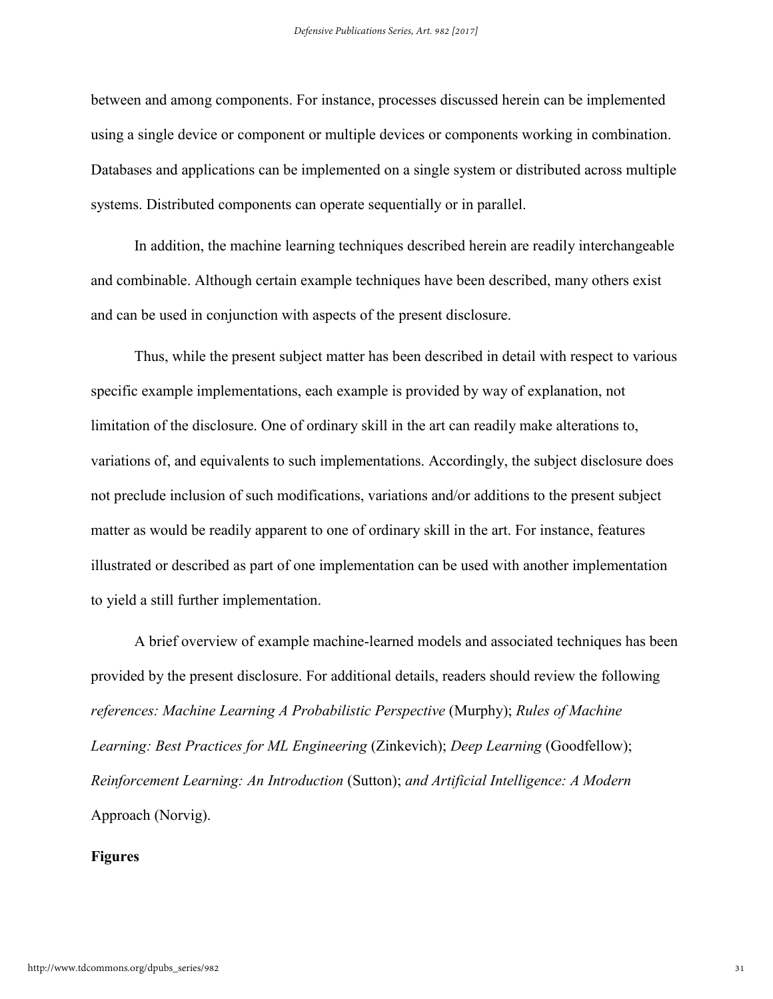between and among components. For instance, processes discussed herein can be implemented using a single device or component or multiple devices or components working in combination. Databases and applications can be implemented on a single system or distributed across multiple systems. Distributed components can operate sequentially or in parallel.

In addition, the machine learning techniques described herein are readily interchangeable and combinable. Although certain example techniques have been described, many others exist and can be used in conjunction with aspects of the present disclosure.

Thus, while the present subject matter has been described in detail with respect to various specific example implementations, each example is provided by way of explanation, not limitation of the disclosure. One of ordinary skill in the art can readily make alterations to, variations of, and equivalents to such implementations. Accordingly, the subject disclosure does not preclude inclusion of such modifications, variations and/or additions to the present subject matter as would be readily apparent to one of ordinary skill in the art. For instance, features illustrated or described as part of one implementation can be used with another implementation to yield a still further implementation.

A brief overview of example machine-learned models and associated techniques has been provided by the present disclosure. For additional details, readers should review the following *references: Machine Learning A Probabilistic Perspective* (Murphy); *Rules of Machine Learning: Best Practices for ML Engineering (Zinkevich); <i>Deep Learning (Goodfellow)*; *Reinforcement Learning: An Introduction* (Sutton); *and Artificial Intelligence: A Modern*  Approach (Norvig).

#### **Figures**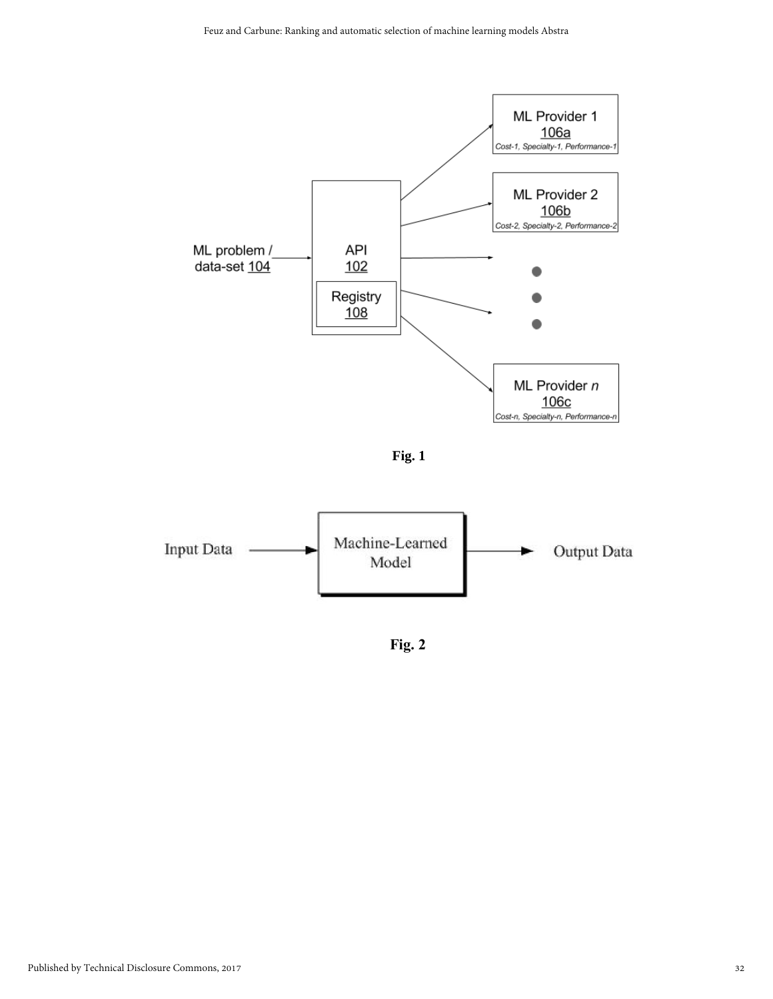

**Fig. 1**



**Fig. 2**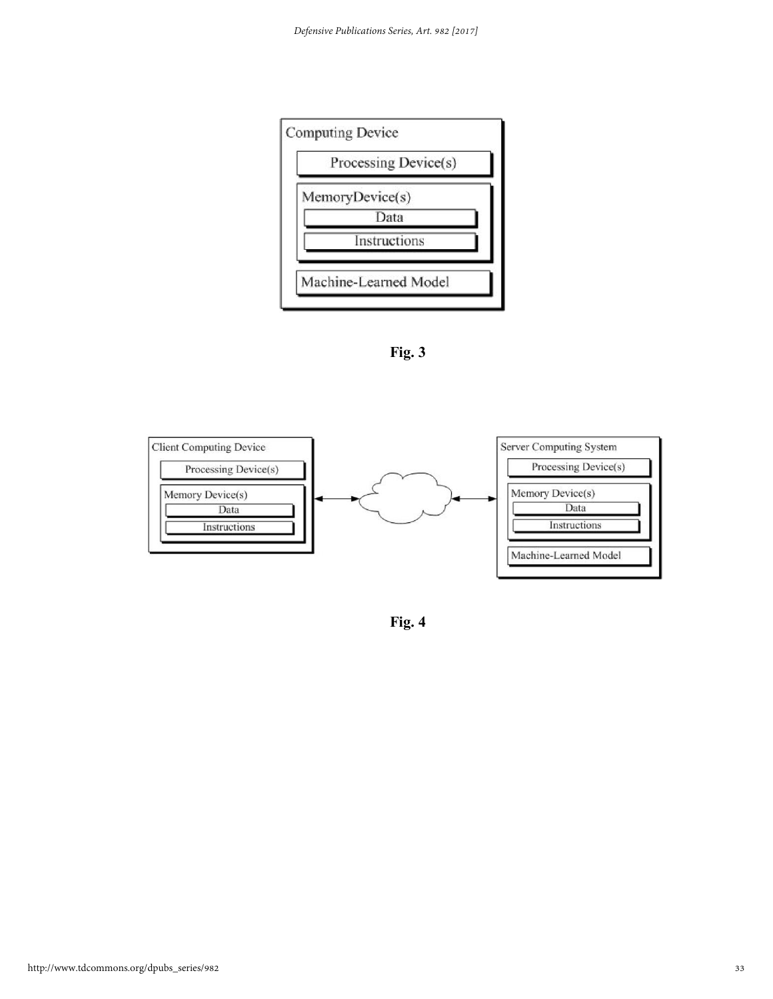

**Fig. 3**



**Fig. 4**